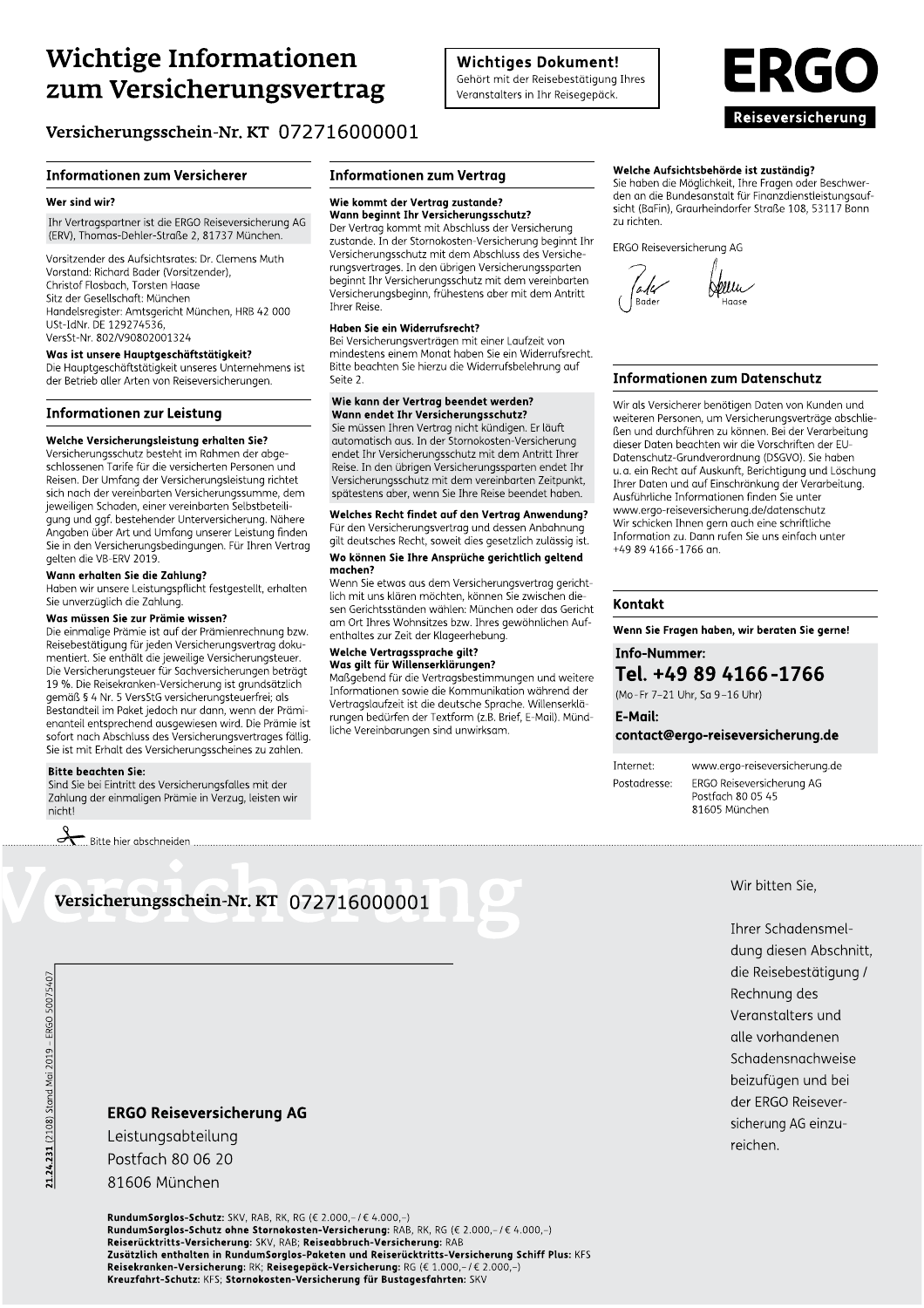# **Wichtige Informationen** zum Versicherungsvertrag

# Versicherungsschein-Nr. KT 072716000001

# **Informationen zum Versicherer**

#### Wer sind wir?

Ihr Vertragspartner ist die ERGO Reiseversicherung AG (ERV), Thomas-Dehler-Straße 2, 81737 München.

Vorsitzender des Aufsichtsrates: Dr. Clemens Muth Vorstand: Richard Bader (Vorsitzender). Christof Flosbach. Torsten Haase Sitz der Gesellschaft: München Handelsregister: Amtsgericht München, HRB 42 000 USt-IdNr. DE 129274536 VersSt-Nr. 802/V90802001324

## Was ist unsere Hauptgeschäftstätigkeit?

Die Hauptgeschäftstätigkeit unseres Unternehmens ist der Betrieb aller Arten von Reiseversicherungen.

# **Informationen zur Leistung**

#### Welche Versicherungsleistung erhalten Sie?

Versicherungsschutz besteht im Rahmen der abgeschlossenen Tarife für die versicherten Personen und Reisen. Der Umfang der Versicherungsleistung richtet sich nach der vereinbarten Versicherungssumme, dem jeweiligen Schaden, einer vereinbarten Selbstbeteiligung und ggf. bestehender Unterversicherung. Nähere Angaben über Art und Umfang unserer Leistung finden Sie in den Versicherungsbedingungen. Für Ihren Vertrag gelten die VB-ERV 2019.

# Wann erhalten Sie die Zahlung?

Haben wir unsere Leistungspflicht festgestellt, erhalten Sie unverzüglich die Zahlung.

# Was müssen Sie zur Prämie wissen?

Die einmalige Prämie ist auf der Prämienrechnung bzw. Reisebestätigung für jeden Versicherungsvertrag dokumentiert. Sie enthält die jeweilige Versicherungsteuer. Die Versicherungsteuer für Sachversicherungen beträgt 19 %. Die Reisekranken-Versicherung ist grundsätzlich gemäß § 4 Nr. 5 VersStG versicherungsteuerfrei; als Bestandteil im Paket jedoch nur dann, wenn der Prämienanteil entsprechend ausgewiesen wird. Die Prämie ist sofort nach Abschluss des Versicherungsvertrages fällig. Sie ist mit Erhalt des Versicherungsscheines zu zahlen.

#### **Bitte beachten Sie:**

Sind Sie bei Eintritt des Versicherungsfalles mit der Zahlung der einmaligen Prämie in Verzug, leisten wir nicht!

 $\sum$  Bitte hier abschneiden

# **Informationen zum Vertrag**

# Wie kommt der Vertrag zustande?

Wann beginnt Ihr Versicherungsschutz? Der Vertrag kommt mit Abschluss der Versicherung zustande. In der Stornokosten-Versicherung beginnt Ihr Versicherungsschutz mit dem Abschluss des Versicherungsvertrages. In den übrigen Versicherungssparten beginnt Ihr Versicherungsschutz mit dem vereinbarten Versicherungsbeginn, frühestens aber mit dem Antritt **Threr Reise.** 

#### Haben Sie ein Widerrufsrecht?

Bei Versicherungsverträgen mit einer Laufzeit von mindestens einem Monat haben Sie ein Widerrufsrecht. Bitte beachten Sie hierzu die Widerrufsbelehrung auf Seite 2.

#### Wie kann der Vertrag beendet werden? Wann endet Ihr Versicherungsschutz?

Sie müssen Ihren Vertrag nicht kündigen. Er läuft automatisch aus. In der Stornokosten-Versicherung endet Ihr Versicherungsschutz mit dem Antritt Ihrer Reise. In den übrigen Versicherungssparten endet Ihr Versicherungsschutz mit dem vereinbarten Zeitpunkt, spätestens aber, wenn Sie Ihre Reise beendet haben.

Welches Recht findet auf den Vertrag Anwendung? Für den Versicherungsvertrag und dessen Anbahnung gilt deutsches Recht, soweit dies gesetzlich zulässig ist. Wo können Sie Ihre Ansprüche gerichtlich geltend

# machen?

Wenn Sie etwas aus dem Versicherungsvertrag gerichtlich mit uns klären möchten, können Sie zwischen diesen Gerichtsständen wählen: München oder das Gericht am Ort Ihres Wohnsitzes bzw. Ihres gewöhnlichen Aufenthaltes zur Zeit der Klageerhebung.

# Welche Vertragssprache gilt?

# Was gilt für Willenserklärungen?

Maßgebend für die Vertragsbestimmungen und weitere Informationen sowie die Kommunikation während der Vertraaslaufzeit ist die deutsche Sprache, Willenserklärungen bedürfen der Textform (z.B. Brief, E-Mail). Mündliche Vereinbarungen sind unwirksam.

# Welche Aufsichtsbehörde ist zuständig?

Sie haben die Möglichkeit, Ihre Fragen oder Beschwerden an die Bundesanstalt für Finanzdienstleistungsaufsicht (BaFin), Graurheindorfer Straße 108, 53117 Bonn zu richten.

ERGO Reiseversicherung AG

# **Informationen zum Datenschutz**

Wir als Versicherer benötigen Daten von Kunden und weiteren Personen, um Versicherungsverträge abschließen und durchführen zu können. Bei der Verarbeitung dieser Daten beachten wir die Vorschriften der EU-Datenschutz-Grundverordnung (DSGVO). Sie haben u.a. ein Recht auf Auskunft, Berichtigung und Löschung Ihrer Daten und auf Einschränkung der Verarbeitung. Ausführliche Informationen finden Sie unter www.ergo-reiseversicherung.de/datenschutz Wir schicken Ihnen gern auch eine schriftliche Information zu. Dann rufen Sie uns einfach unter +49 89 4166-1766 an.

# Kontakt

Wenn Sie Fragen haben, wir beraten Sie gerne!

# **Info-Nummer:** Tel. +49 89 4166-1766

(Mo-Fr 7-21 Uhr, Sa 9-16 Uhr)

# E-Mail: contact@ergo-reiseversicherung.de

Internet: Postadresse:

www.ergo-reiseversicherung.de ERGO Reiseversicherung AG Postfach 80 05 45 81605 München

Wir bitten Sie.

Ihrer Schadensmeldung diesen Abschnitt. die Reisebestätigung / Rechnung des Veranstalters und alle vorhandenen Schadensnachweise beizufügen und bei der ERGO Reiseversicherung AG einzureichen.

**ERGO Reiseversicherung AG** 

Versicherungsschein-Nr. KT 072716000001

Postfach 80 06 20 81606 München

RundumSorglos-Schutz: SKV, RAB, RK, RG (€ 2.000,-/€ 4.000,-) RundumSorglos-Schutz ohne Stornokosten-Versicherung: RAB, RK, RG (€ 2.000,-/€ 4.000,-) Reiserücktritts-Versicherung: SKV, RAB; Reiseabbruch-Versicherung: RAB Zusätzlich enthalten in RundumSorglos-Paketen und Reiserücktritts-Versicherung Schiff Plus: KFS **Reisekranken-Versicherung: RK; Reisegepäck-Versicherung: RG (€ 1.000,-/€ 2.000,-)**<br>**Reisekranken-Versicherung: RK; Reisegepäck-Versicherung: RG (€ 1.000,-/€ 2.000,-)** 

Leistungsabteilung



**Wichtiges Dokument!** 

Gehört mit der Reisebestätigung Ihres Veranstalters in Ihr Reisegepäck.

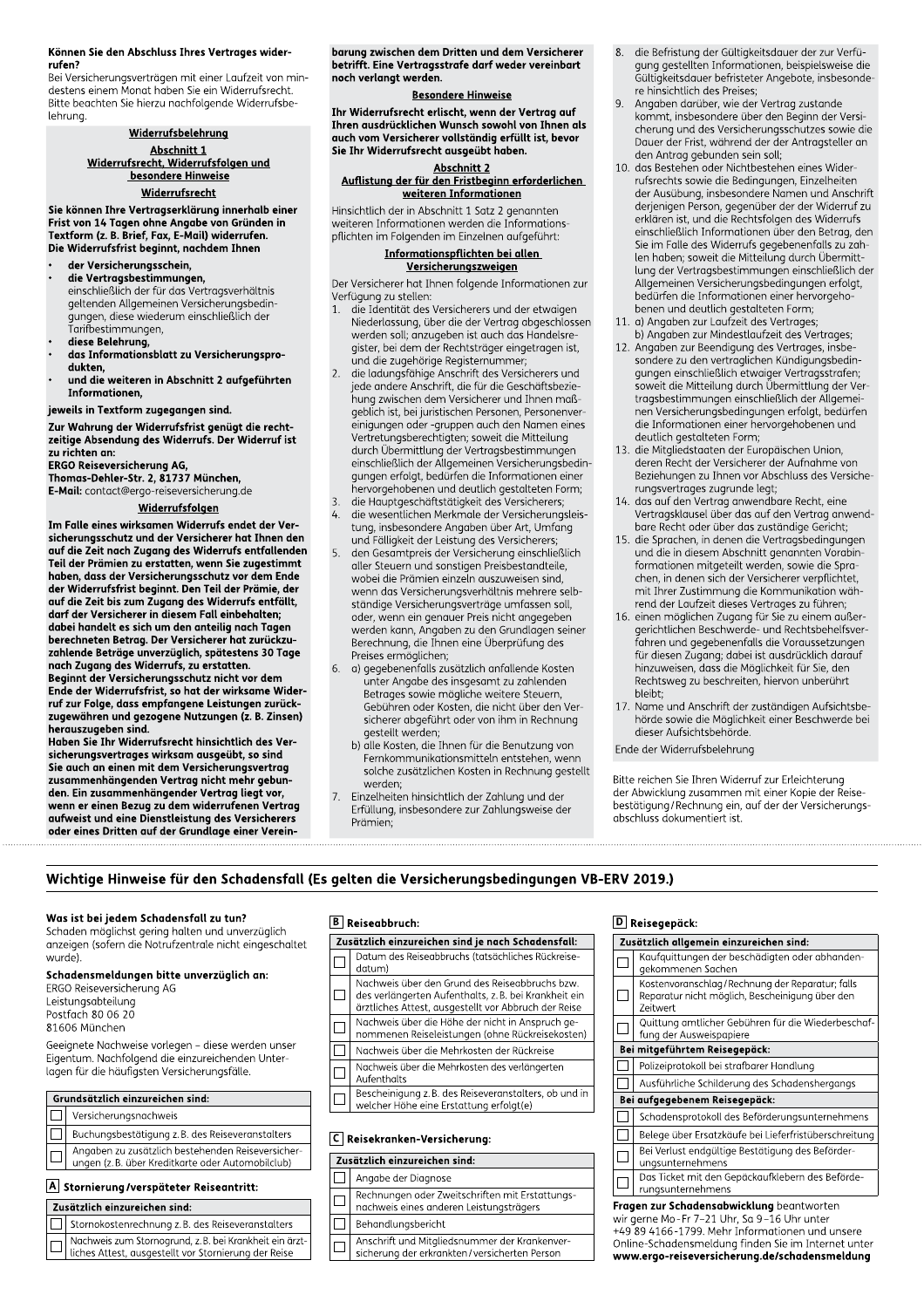#### Können Sie den Abschluss Ihres Vertrages widerrufen?

Bei Versicherungsverträgen mit einer Laufzeit von mindestens einem Monat haben Sie ein Widerrufsrecht. Bitte beachten Sie hierzu nachfolgende Widerrufsbelehruna.

#### Widerrufsbelehrung Abschnitt 1

Widerrufsrecht, Widerrufsfolgen und Widerrufsrecht

Sie können Ihre Vertragserklärung innerhalb einer Frist von 14 Tagen ohne Angabe von Gründen in Textform (z. B. Brief, Fax, E-Mail) widerrufen. Die Widerrufsfrist beginnt, nachdem Ihnen

- der Versicherungsschein, die Vertragsbestimmungen, einschließlich der für das Vertragsverhältnis
	- geltenden Allgemeinen Versicherungsbedingungen, diese wiederum einschließlich der Tarifbestimmungen,
- diese Belehrung,<br>diese Belehrung,<br>das Informationsblatt zu Versicherungsprodukten.
- und die weiteren in Abschnitt 2 aufgeführten Informationen,

jeweils in Textform zugegangen sind.

Zur Wahrung der Widerrufsfrist genügt die rechtzeitige Absendung des Widerrufs. Der Widerruf ist zu richten an:

**ERGO Reiseversicherung AG,** 

Thomas-Dehler-Str. 2, 81737 München,

E-Mail: contact@ergo-reiseversicherung.de

# Widerrufsfolgen

Im Falle eines wirksamen Widerrufs endet der Versicherungsschutz und der Versicherer hat Ihnen den such auf die Zeit nach Zugang des Widerrufs entfallenden<br>Teil der Prämien zu erstatten, wenn Sie zugestimmt haben, dass der Versicherungsschutz vor dem Ende der Widerrufsfrist beginnt. Den Teil der Prämie, der auf die Zeit bis zum Zugang des Widerrufs entfällt, darf der Versicherer in diesem Fall einbehalten; dabei handelt es sich um den anteilig nach Tagen berechneten Betrag. Der Versicherer hat zurückzuzahlende Beträge unverzüglich, spätestens 30 Tage<br>nach Zugang des Widerrufs, zu erstatten.<br>Beginnt der Versicherungsschutz nicht vor dem

Ende der Widerrufsfrist, so hat der wirksame Wider-<br>Tuf zur Folge, dass empfangene Leistungen zurück-<br>zugewähren und gezogene Nutzungen (z. B. Zinsen) herauszugeben sind.

Haben Sie Ihr Widerrufsrecht hinsichtlich des Versicherungsvertrages wirksam ausgeübt, so sind Sie auch an einen mit dem Versicherungsvertrag zusammenhängenden Vertrag nicht mehr gebunden. Ein zusammenhängender Vertrag liegt vor, wenn er einen Bezug zu dem widerrufenen Vertrag aufweist und eine Dienstleistung des Versicherers oder eines Dritten auf der Grundlage einer Vereinbarung zwischen dem Dritten und dem Versicherer betrifft. Eine Vertragsstrafe darf weder vereinbart noch verlangt werden.

#### **Besondere Hinweise**

Ihr Widerrufsrecht erlischt, wenn der Vertrag auf Ihren ausdrücklichen Wunsch sowohl von Ihnen als auch vom Versicherer vollständig erfüllt ist, bevor Sie Ihr Widerrufsrecht ausgeübt haben.

# **Abschnitt 2**

Auflistung der für den Fristbeginn erforderlichen weiteren Informationen

Hinsichtlich der in Abschnitt 1 Satz 2 genannten weiteren Informationen werden die Informationspflichten im Folgenden im Einzelnen aufgeführt:

#### Informationspflichten bei allen Versicherungszweigen

Der Versicherer hat Ihnen folgende Informationen zur Verfügung zu stellen:

- die Identität des Versicherers und der etwaigen Niederlassung, über die der Vertrag abgeschlossen werden soll; anzugeben ist auch das Handelsregister, bei dem der Rechtsträger eingetragen ist, und die zugehörige Registernummer;
- $\overline{2}$ . die ladungsfähige Anschrift des Versicherers und jede andere Anschrift, die für die Geschäftsbeziehung zwischen dem Versicherer und Ihnen maßgeblich ist, bei juristischen Personen, Personenvereinigungen oder -gruppen auch den Namen eines Umgangen daer gruppen daer den namen einer<br>Vertretungsberechtigten; soweit die Mitteilung<br>durch Übermittlung der Vertragsbestimmungen einschließlich der Allgemeinen Versicherungsbedingungen erfolgt, bedürfen die Informationen einer hervorgehobenen und deutlich gestalteten Form;
- die Hauptgeschäftstätigkeit des Versicherers; die wesentlichen Merkmale der Versicherungsleistung, insbesondere Angaben über Art, Umfang und Fälligkeit der Leistung des Versicherers;
- 5. den Gesamtpreis der Versicherung einschließlich aller Steuern und sonstigen Preisbestandteile, wobei die Prämien einzeln auszuweisen sind, wenn das Versicherungsverhältnis mehrere selbständige Versicherungsverträge umfassen soll, oder, wenn ein genauer Preis nicht angegeben werden kann, Angaben zu den Grundlagen seiner Berechnung, die Ihnen eine Überprüfung des Preises ermöglichen;
- a) gegebenenfalls zusätzlich anfallende Kosten 6. unter Angabe des insgesamt zu zahlenden Betrages sowie mögliche weitere Steuern, Gebühren oder Kosten, die nicht über den Versicherer abgeführt oder von ihm in Rechnung gestellt werden;
	- b) alle Kosten, die Ihnen für die Benutzung von Fernkommunikationsmitteln entstehen, wenn solche zusätzlichen Kosten in Rechnung gestellt werden:
- Einzelheiten hinsichtlich der Zahlung und der Erfüllung, insbesondere zur Zahlungsweise der Prämien:
- die Befristung der Gültigkeitsdauer der zur Verfü-8. gung gestellten Informationen, beispielsweise die Gültigkeitsdauer befristeter Angebote, insbesondere hinsichtlich des Preises;
- $\overline{q}$ Angaben darüber, wie der Vertrag zustande kommt, insbesondere über den Beginn der Versicherung und des Versicherungsschutzes sowie die Dauer der Frist, während der der Antragsteller an den Antrag gebunden sein soll;
- 10. das Bestehen oder Nichtbestehen eines Widerrufsrechts sowie die Bedingungen, Einzelheiten der Ausübung, insbesondere Namen und Anschrift der Adsabung, insbesondere Namen and Ansemne<br>derjenigen Person, gegenüber der der Widerruf zu<br>erklären ist, und die Rechtsfolgen des Widerrufs einschließlich Informationen über den Betrag, den Sie im Falle des Widerrufs gegebenenfalls zu zahlen haben; soweit die Mitteilung durch Übermittlung der Vertragsbestimmungen einschließlich der Allgemeinen Versicherungsbedingungen erfolgt, bedürfen die Informationen einer hervorgehobenen und deutlich gestalteten Form;
- 11. a) Angaben zur Laufzeit des Vertrages; b) Angaben zur Mindestlaufzeit des Vertrages;
- $12<sub>1</sub>$ Angaben zur Beendigung des Vertrages, insbe-Fingerer zu den vertraglieden Kündigen, gebeden<br>Spangen einschließlich etwaiger Vertragsstrafen;<br>soweit die Mitteilung durch Übermittlung der Vertragsbestimmungen einschließlich der Allgemeitragsbesommangen einschiedlich der Augenten<br>nen Versicherungsbedingungen erfolgt, bedürfen<br>die Informationen einer hervorgehobenen und deutlich gestalteten Form;
- 13. die Mitgliedstaaten der Europäischen Union, deren Recht der Versicherer der Aufnahme von Beziehungen zu Ihnen vor Abschluss des Versicherungsvertrages zugrunde legt;
- 14. das auf den Vertrag anwendbare Recht, eine Vertragsklausel über das auf den Vertrag anwendbare Recht oder über das zuständige Gericht;
- $15$ die Sprachen, in denen die Vertragsbedingungen und die in diesem Abschnitt genannten Vorabinformationen mitgeteilt werden, sowie die Sprachen, in denen sich der Versicherer verpflichtet, mit Ihrer Zustimmung die Kommunikation während der Laufzeit dieses Vertrages zu führen;
- 16. einen möglichen Zugang für Sie zu einem außeren: http://www.asgangle.com/action/edition-<br>gerichtlichen Beschwerde- und Rechtsbehelfsver-<br>fahren und gegebenenfalls die Voraussetzungen für diesen Zugang; dabei ist ausdrücklich darauf hinzuweisen, dass die Möglichkeit für Sie, den Rechtsweg zu beschreiten, hiervon unberührt hleiht<sup>.</sup>
- 17. Name und Anschrift der zuständigen Aufsichtsbehörde sowie die Möglichkeit einer Beschwerde bei dieser Aufsichtsbehörde.

Ende der Widerrufsbelehrung

Bitte reichen Sie Ihren Widerruf zur Erleichterung der Abwicklung zusammen mit einer Kopie der Reisebestätigung/Rechnung ein, auf der der Versicherungsabschluss dokumentiert ist.

# Wichtige Hinweise für den Schadensfall (Es gelten die Versicherungsbedingungen VB-ERV 2019.)

#### Was ist bei jedem Schadensfall zu tun?

Schaden möglichst gering halten und unverzüglich anzeigen (sofern die Notrufzentrale nicht eingeschaltet wurde).

# Schadensmeldungen bitte unverzüglich an:

- ERGO Reiseversicherung AG Leistungsabteilung
- Postfach 80 06 20 81606 München

Geeignete Nachweise vorlegen - diese werden unser Eigentum. Nachfolgend die einzureichenden Unterlagen für die häufigsten Versicherungsfälle.

#### Grundsätzlich einzureichen sind:

- $\Box$ Versicherungsnachweis
- $\Box$ Buchungsbestätigung z.B. des Reiseveranstalters
- Angaben zu zusätzlich bestehenden Reiseversiche  $\Box$ ungen (z. B. über Kreditkarte oder Automobilclub)
- 

# A Stornierung/verspäteter Reiseantritt:

- Zusätzlich einzureichen sind:
- Stornokostenrechnung z.B. des Reiseveranstalters П
- Г
- Nachweis zum Stornogrund, z.B. bei Krankheit ein ärzt-<br>liches Attest, ausgestellt vor Stornierung der Reise

# $\boxed{B}$  Reiseabbruch:

| Zusätzlich einzureichen sind je nach Schadensfall: |                                                                                                                                                                |  |
|----------------------------------------------------|----------------------------------------------------------------------------------------------------------------------------------------------------------------|--|
|                                                    | Datum des Reiseabbruchs (tatsächliches Rückreise-<br>datum)                                                                                                    |  |
|                                                    | Nachweis über den Grund des Reiseabbruchs bzw.<br>des verlängerten Aufenthalts, z.B. bei Krankheit ein<br>ärztliches Attest, ausgestellt vor Abbruch der Reise |  |
|                                                    | Nachweis über die Höhe der nicht in Anspruch ge-<br>nommenen Reiseleistungen (ohne Rückreisekosten)                                                            |  |
|                                                    | Nachweis über die Mehrkosten der Rückreise                                                                                                                     |  |
|                                                    | Nachweis über die Mehrkosten des verlängerten<br>Aufenthalts                                                                                                   |  |
|                                                    | Bescheinigung z. B. des Reiseveranstalters, ob und in<br>welcher Höhe eine Erstattung erfolgt(e)                                                               |  |
| Reisekranken-Versicherung:                         |                                                                                                                                                                |  |

- Zusätzlich einzureichen sind:  $\Box$ Angabe der Diagnose
- 
- Rechnungen oder Zweitschriften mit Erstattungs- $\Box$ nachweis eines anderen Leistungsträgers
- $\Box$ Behandlungsbericht
- 
- Anschrift und Mitgliedsnummer der Krankenver- $\Box$ sicherung der erkrankten/versicherten Persor

# D Reisegepäck:

| Zusätzlich allgemein einzureichen sind:                                                                                                         |                                                                                                                |  |
|-------------------------------------------------------------------------------------------------------------------------------------------------|----------------------------------------------------------------------------------------------------------------|--|
|                                                                                                                                                 | Kaufquittungen der beschädigten oder abhanden-<br>gekommenen Sachen                                            |  |
|                                                                                                                                                 | Kostenvoranschlag/Rechnung der Reparatur; falls<br>Reparatur nicht möglich, Bescheinigung über den<br>Zeitwert |  |
|                                                                                                                                                 | Quittung amtlicher Gebühren für die Wiederbeschaf-<br>fung der Ausweispapiere                                  |  |
| Bei mitgeführtem Reisegepäck:                                                                                                                   |                                                                                                                |  |
|                                                                                                                                                 | Polizeiprotokoll bei strafbarer Handlung                                                                       |  |
|                                                                                                                                                 | Ausführliche Schilderung des Schadenshergangs                                                                  |  |
| Bei aufgegebenem Reisegepäck:                                                                                                                   |                                                                                                                |  |
|                                                                                                                                                 | Schadensprotokoll des Beförderungsunternehmens                                                                 |  |
|                                                                                                                                                 | Belege über Ersatzkäufe bei Lieferfristüberschreitung                                                          |  |
|                                                                                                                                                 | Bei Verlust endgültige Bestätigung des Beförder-<br>ungsunternehmens                                           |  |
|                                                                                                                                                 | Das Ticket mit den Gepäckaufklebern des Beförde-<br>rungsunternehmens                                          |  |
| Fragen zur Schadensabwicklung beantworten<br>wir gerne Mo-Fr 7-21 Uhr, Sa 9-16 Uhr unter<br>$1.0.90.1100.1700.00$ Mahr Informationen und uncera |                                                                                                                |  |

4166-1799. Mehr Informationen und unsere Online-Schadensmeldung finden Sie im Internet unter www.ergo-reiseversicherung.de/schadensmeldung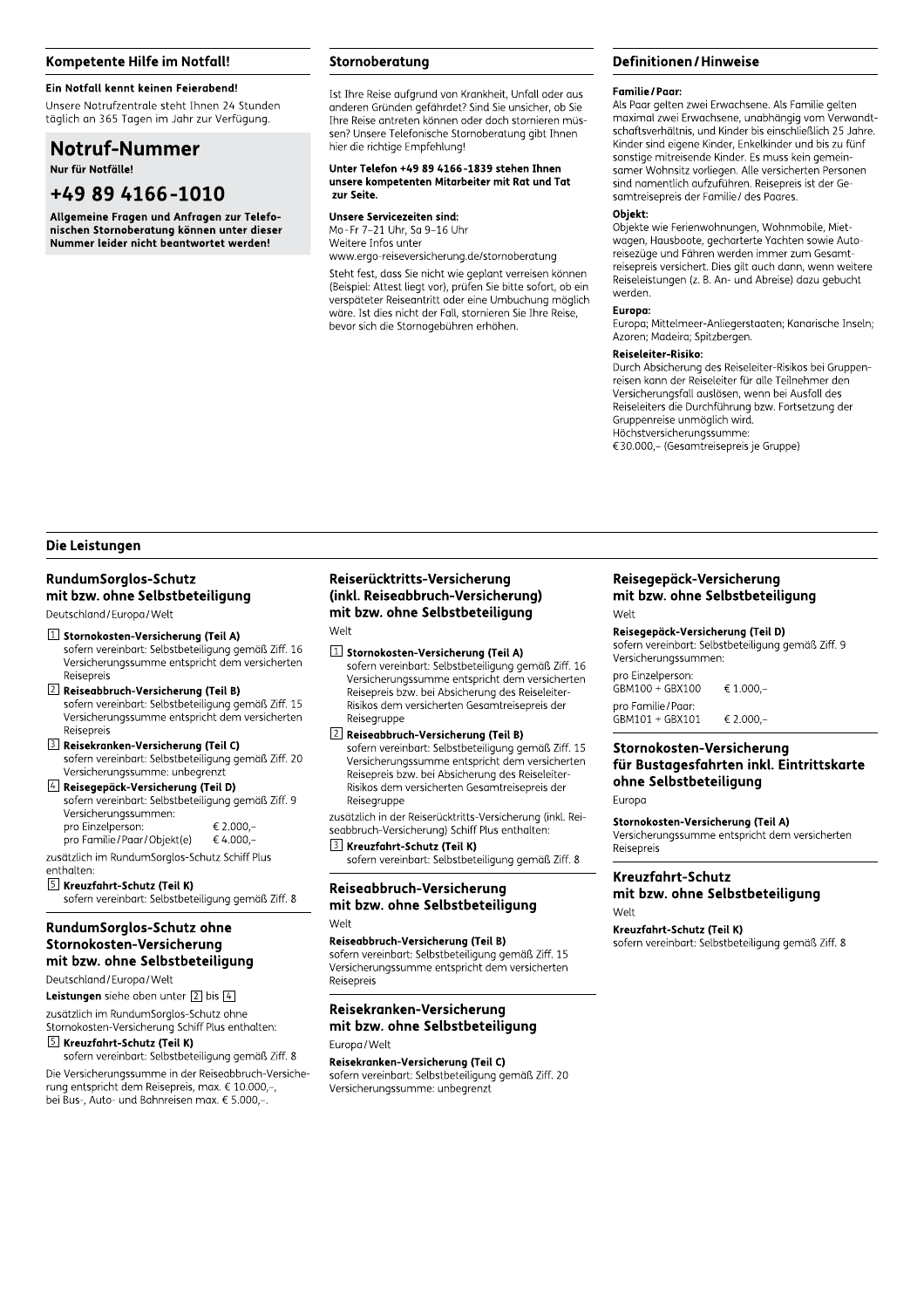# Kompetente Hilfe im Notfall!

# Ein Notfall kennt keinen Feierabend!

Unsere Notrufzentrale steht Ihnen 24 Stunden täglich an 365 Tagen im Jahr zur Verfügung.

# **Notruf-Nummer**

Nur für Notfälle!

# +49 89 4166-1010

Allgemeine Fragen und Anfragen zur Telefonischen Stornoberatung können unter dieser Nummer leider nicht beantwortet werden!

# Stornoberatung

Ist Ihre Reise aufgrund von Krankheit, Unfall oder aus anderen Gründen gefährdet? Sind Sie unsicher, ob Sie Ihre Reise antreten können oder doch stornieren müssen? Unsere Telefonische Stornoberatung gibt Ihnen hier die richtige Empfehlung!

#### Unter Telefon +49 89 4166-1839 stehen Ihnen unsere kompetenten Mitarbeiter mit Rat und Tat zur Seite.

**Unsere Servicezeiten sind:** Mo-Fr 7-21 Uhr, Sa 9-16 Uhr Weitere Infos unter

www.ergo-reiseversicherung.de/stornoberatung Steht fest, dass Sie nicht wie geplant verreisen können (Beispiel: Attest liegt vor), prüfen Sie bitte sofort, ob ein verspäteter Reiseantritt oder eine Umbuchung möglich wäre. Ist dies nicht der Fall, stornieren Sie Ihre Reise, bevor sich die Stornogebühren erhöhen.

# **Definitionen/Hinweise**

#### **Familie / Paar:**

Als Paar gelten zwei Erwachsene. Als Familie gelten maximal zwei Erwachsene, unabhängig vom Verwandtschaftsverhältnis, und Kinder bis einschließlich 25 Jahre. Kinder sind eigene Kinder, Enkelkinder und bis zu fünf sonstige mitreisende Kinder. Es muss kein gemeinsamer Wohnsitz vorliegen. Alle versicherten Personen sind namentlich aufzuführen. Reisepreis ist der Gesamtreisepreis der Familie/ des Paares.

#### Objekt:

Objekte wie Ferienwohnungen, Wohnmobile, Mietwagen, Hausboote, gecharterte Yachten sowie Autoreisezüge und Fähren werden immer zum Gesamtreisepreis versichert. Dies gilt auch dann, wenn weitere Reiseleistungen (z. B. An- und Abreise) dazu gebucht werden.

#### Europa:

Europa; Mittelmeer-Anliegerstaaten; Kanarische Inseln; Azoren: Madeira: Spitzbergen.

# Reiseleiter-Risiko:

Durch Absicherung des Reiseleiter-Risikos bei Gruppenreisen kann der Reiseleiter für alle Teilnehmer den Versicherungsfall auslösen, wenn bei Ausfall des Reiseleiters die Durchführung bzw. Fortsetzung der Gruppenreise unmöglich wird. Höchstversicherungssumme:

€30.000,- (Gesamtreisepreis je Gruppe)

### Die Leistungen

# **RundumSorglos-Schutz** mit bzw. ohne Selbstbeteiligung

Deutschland / Europa / Welt

#### [1] Stornokosten-Versicherung (Teil A) sofern vereinbart: Selbstbeteiligung gemäß Ziff. 16 Versicherungssumme entspricht dem versicherten Reisenreis

2 Reiseabbruch-Versicherung (Teil B) sofern vereinbart: Selbstbeteiligung gemäß Ziff. 15 Versicherungssumme entspricht dem versicherten Reisenreis

#### 3 Reisekranken-Versicherung (Teil C) sofern vereinbart: Selbstbeteiligung gemäß Ziff. 20 Versicherungssumme: unbegrenzt

4 Reisegepäck-Versicherung (Teil D) sofern vereinbart: Selbstbeteiligung gemäß Ziff. 9 Versicherungssummen: pro Einzelperson:  $\epsilon$  2.000 pro Familie / Paar / Objekt(e) € 4.000,-

zusätzlich im RundumSorglos-Schutz Schiff Plus enthalten

# S Kreuzfahrt-Schutz (Teil K)

sofern vereinbart: Selbstbeteiligung gemäß Ziff. 8

# RundumSorglos-Schutz ohne Stornokosten-Versicherung mit bzw. ohne Selbstbeteiligung

Deutschland/Europa/Welt

Leistungen siehe oben unter  $\boxed{2}$  bis  $\boxed{4}$ 

zusätzlich im RundumSorglos-Schutz ohne Stornokosten-Versicherung Schiff Plus enthalten:

# 5 Kreuzfahrt-Schutz (Teil K)

sofern vereinbart: Selbstbeteiligung gemäß Ziff. 8 Die Versicherungssumme in der Reiseabbruch-Versicherung entspricht dem Reisepreis, max. € 10.000.-. bei Bus-. Auto- und Bahnreisen max. € 5.000.-.

# Reiserücktritts-Versicherung (inkl. Reiseabbruch-Versicherung) mit bzw. ohne Selbstbeteiligung Welt

## [1] Stornokosten-Versicherung (Teil A)

sofern vereinbart: Selbstbeteiligung gemäß Ziff. 16 Versicherungssumme entspricht dem versicherten Reisepreis bzw. bei Absicherung des Reiseleiter-Risikos dem versicherten Gesamtreisepreis der Reisegruppe

# 2 Reiseabbruch-Versicherung (Teil B)

sofern vereinbart: Selbstbeteiligung gemäß Ziff. 15 Versicherungssumme entspricht dem versicherten Reisepreis bzw. bei Absicherung des Reiseleiter Risikos dem versicherten Gesamtreisepreis der Reisegruppe

zusätzlich in der Reiserücktritts-Versicherung (inkl. Reiseabbruch-Versicherung) Schiff Plus enthalten: 3 Kreuzfahrt-Schutz (Teil K)

sofern vereinbart: Selbstbeteiligung gemäß Ziff. 8

## Reiseabbruch-Versicherung mit bzw. ohne Selbstbeteiligung Welt

# Reiseabbruch-Versicherung (Teil B)

sofern vereinbart: Selbstbeteiligung gemäß Ziff. 15 Versicherungssumme entspricht dem versicherten Reisepreis

# Reisekranken-Versicherung mit bzw. ohne Selbstbeteiligung

Furopa/Welt

# Reisekranken-Versicherung (Teil C)

sofern vereinbart: Selbstbeteiligung gemäß Ziff. 20 Versicherungssumme: unbegrenzt

# Reisegepäck-Versicherung mit bzw. ohne Selbstbeteiligung

Welt

#### Reisegepäck-Versicherung (Teil D)

sofern vereinbart: Selbstbeteiligung gemäß Ziff. 9 Versicherungssummen:

pro Einzelperson: GBM100 + GBX100 € 1.000,pro Familie / Paar: GBM101 + GBX101 € 2.000,-

# Stornokosten-Versicherung für Bustagesfahrten inkl. Eintrittskarte ohne Selbstbeteiligung

# Europa

## Stornokosten-Versicherung (Teil A)

Versicherungssumme entspricht dem versicherten Reisenreis

# Kreuzfahrt-Schutz mit bzw. ohne Selbstbeteiligung

Welt

# Kreuzfahrt-Schutz (Teil K)

sofern vereinbart: Selbstbeteiligung gemäß Ziff. 8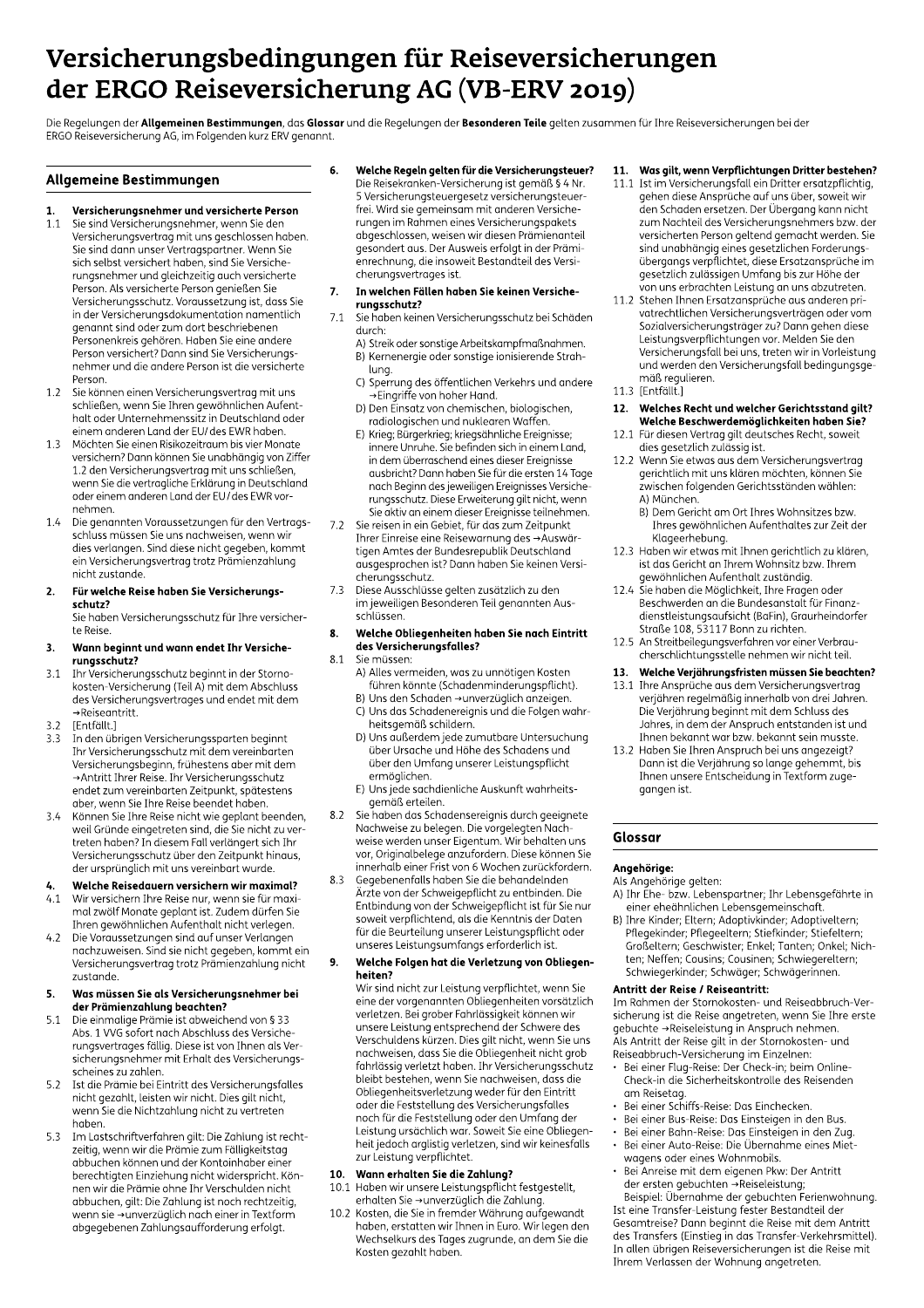# Versicherungsbedingungen für Reiseversicherungen der ERGO Reiseversicherung AG (VB-ERV 2019)

Die Regelungen der Allgemeinen Bestimmungen, das Glossar und die Regelungen der Besonderen Teile gelten zusammen für Ihre Reiseversicherungen bei der ERGO Reiseversicherung AG, im Folgenden kurz ERV genannt.

# **Allgemeine Bestimmungen**

#### Versicherungsnehmer und versicherte Person  $\mathbf{1}$

- Sie sind Versicherungsnehmer, wenn Sie den  $1.1$ Versicherungsvertrag mit uns geschlossen haben. Sie sind dann unser Vertragspartner. Wenn Sie sich selbst versichert haben, sind Sie Versicherungsnehmer und gleichzeitig auch versicherte Person. Als versicherte Person genießen Sie Versicherungsschutz. Voraussetzung ist, dass Sie in der Versicherungsdokumentation namentlich genannt sind oder zum dort beschriebenen p<br>Personenkreis gehören. Haben Sie eine andere Person versichert? Dann sind Sie Versicherungs nehmer und die andere Person ist die versicherte Person.
- Sie können einen Versicherungsvertrag mit uns  $1.2$ schließen, wenn Sie Ihren gewöhnlichen Aufenthalt oder Unternehmenssitz in Deutschland oder einem anderen Land der EU/ des EWR haben.
- Möchten Sie einen Risikozeitraum bis vier Monate  $1.3$ versichern? Dann können Sie unabhängig von Ziffer 1.2 den Versicherungsvertrag mit uns schließen, wenn Sie die vertragliche Erklärung in Deutschland oder einem anderen Land der EU/des EWR vornehmen.
- $1.4$ Die genannten Voraussetzungen für den Vertragsschluss müssen Sie uns nachweisen, wenn wir dies verlangen. Sind diese nicht gegeben, kommt ein Versicherungsvertrag trotz Prämienzahlung nicht zustande

#### $2.$ Für welche Reise haben Sie Versicherungsschutz?

Sie haben Versicherungsschutz für Ihre versicherte Reise

- Wann beginnt und wann endet Ihr Versiche-3. runasschutz?
- $31$ Ihr Versicherungsschutz beginnt in der Stornokosten-Versicherung (Teil A) mit dem Abschluss des Versicherungsvertrages und endet mit dem →Reiseantritt
- $3.2$ [Entfällt.]
- In den übrigen Versicherungssparten beginnt  $3.3$ Ihr Versicherungsschutz mit dem vereinbarten Versicherungsbeginn, frühestens aber mit dem Antritt Ihrer Reise. Ihr Versicherungsschutz endet zum vereinbarten Zeitpunkt, spätestens aber, wenn Sie Ihre Reise beendet haben.
- Können Sie Ihre Reise nicht wie geplant beenden,  $3.4$ weil Gründe eingetreten sind, die Sie nicht zu vertreten haben? In diesem Fall verlängert sich Ihr Versicherungsschutz über den Zeitpunkt hinaus, der ursprünglich mit uns vereinbart wurde.

# Welche Reisedauern versichern wir maximal?

- Wir versichern Ihre Reise nur, wenn sie für maxi- $41$ mal zwölf Monate geplant ist. Zudem dürfen Sie Ihren gewöhnlichen Aufenthalt nicht verlegen.
- $4.2$ Die Voraussetzungen sind auf unser Verlangen nachzuweisen. Sind sie nicht gegeben, kommt ein Versicherungsvertrag trotz Prämienzahlung nicht zustande.

#### Was müssen Sie als Versicherungsnehmer bei 5. der Prämienzahlung beachten?

- Die einmalige Prämie ist abweichend von § 33  $51$ Abs. 1 VVG sofort nach Abschluss des Versicherungsvertrages fällig. Diese ist von Ihnen als Versicherungsnehmer mit Erhalt des Versicherungsscheines zu zahlen
- Ist die Prämie bei Eintritt des Versicherungsfalles  $52$ nicht gezahlt, leisten wir nicht. Dies gilt nicht, wenn Sie die Nichtzahlung nicht zu vertreten haben
- Im Lastschriftverfahren gilt: Die Zahlung ist recht-5.3 zeitig, wenn wir die Prämie zum Fälligkeitstag abbuchen können und der Kontoinhaber einer berechtigten Einziehung nicht widerspricht. Können wir die Prämie ohne Ihr Verschulden nicht abbuchen, gilt: Die Zahlung ist noch rechtzeitig, wenn sie →unverzüglich nach einer in Textform abgegebenen Zahlungsaufforderung erfolgt.

6. Welche Regeln gelten für die Versicherungsteuer? Die Reisekranken-Versicherung ist gemäß § 4 Nr. 5 Versicherungsteuergesetz versicherungsteuer

frei. Wird sie gemeinsam mit anderen Versiche rungen im Rahmen eines Versicherungspakets abgeschlossen, weisen wir diesen Prämienanteil gesondert aus. Der Ausweis erfolgt in der Prämienrechnung, die insoweit Bestandteil des Versicherungsvertrages ist.

#### In welchen Fällen haben Sie keinen Versiche-7. rungsschutz?

- $7.1$ Sie haben keinen Versicherungsschutz bei Schäden durch:
	- A) Streik oder sonstige Arbeitskampfmaßnahmen. B) Kernenergie oder sonstige ionisierende Strahluna.
	- C) Sperrung des öffentlichen Verkehrs und andere →Eingriffe von hoher Hand.
	- D) Den Einsatz von chemischen, biologischen, radiologischen und nuklearen Waffen.
	- E) Krieg; Bürgerkrieg; kriegsähnliche Ereignisse; innere Unruhe. Sie befinden sich in einem Land, in dem überraschend eines dieser Ereignisse ausbricht? Dann haben Sie für die ersten 14 Tage nach Beginn des jeweiligen Ereignisses Versicherungsschutz. Diese Erweiterung gilt nicht, wenn Sie aktiv an einem dieser Ereignisse teilnehmen.
- $72$ Sie reisen in ein Gebiet, für das zum Zeitpunkt Ihrer Einreise eine Reisewarnung des →Auswärtigen Amtes der Bundesrepublik Deutschland ausgesprochen ist? Dann haben Sie keinen Versicherungsschutz.
- $7.3$ Diese Ausschlüsse gelten zusätzlich zu den im jeweiligen Besonderen Teil genannten Ausschlüssen

#### Welche Obliegenheiten haben Sie nach Eintritt 8. des Versicherungsfalles?

- $8.1$ Sie müssen:
	- A) Alles vermeiden, was zu unnötigen Kosten führen könnte (Schadenminderungspflicht).
	- B) Uns den Schaden →unverzüglich anzeigen. C) Uns das Schadenereignis und die Folgen wahrheitsgemäß schildern.
	- D) Uns außerdem jede zumutbare Untersuchung über Ursache und Höhe des Schadens und über den Umfang unserer Leistungspflicht ermöglichen.
	- E) Uns jede sachdienliche Auskunft wahrheitsgemäß erteilen.
- Sie haben das Schadensereignis durch geeignete 8.2 Nachweise zu belegen. Die vorgelegten Nachweise werden unser Eigentum. Wir behalten uns vor, Originalbelege anzufordern. Diese können Sie innerhalb einer Frist von 6 Wochen zurückfordern.
- Gegebenenfalls haben Sie die behandelnden 8.3 Ärzte von der Schweigepflicht zu entbinden. Die Entbindung von der Schweigepflicht ist für Sie nur soweit verpflichtend, als die Kenntnis der Daten für die Beurteilung unserer Leistungspflicht oder unseres Leistungsumfangs erforderlich ist.

#### 9. Welche Folgen hat die Verletzung von Obliegenheiten?

Wir sind nicht zur Leistung verpflichtet, wenn Sie eine der vorgenannten Obliegenheiten vorsätzlich verletzen. Bei grober Fahrlässigkeit können wir unsere Leistung entsprechend der Schwere des Verschuldens kürzen. Dies gilt nicht, wenn Sie uns nachweisen, dass Sie die Obliegenheit nicht grob fahrlässig verletzt haben. Ihr Versicherungsschutz bleibt bestehen, wenn Sie nachweisen, dass die Obliegenheitsverletzung weder für den Eintritt oder die Feststellung des Versicherungsfalles noch für die Feststellung oder den Umfang der<br>Leistung ursächlich war. Soweit Sie eine Obliegenheit jedoch arglistig verletzen, sind wir keinesfalls zur Leistung verpflichtet.

#### Wann erhalten Sie die Zahlung?  $10 -$

- Haben wir unsere Leistungspflicht festgestellt,  $10.1$ erhalten Sie →unverzüglich die Zahlung.
- 10.2 Kosten, die Sie in fremder Währung aufgewandt haben, erstatten wir Ihnen in Euro. Wir legen den Wechselkurs des Tages zugrunde, an dem Sie die Kosten gezahlt haben.

# 11. Was gilt, wenn Verpflichtungen Dritter bestehen?

- 11.1 Ist im Versicherungsfall ein Dritter ersatzpflichtig, gehen diese Ansprüche auf uns über, soweit wir den Schaden ersetzen. Der Übergang kann nicht zum Nachteil des Versicherungsnehmers bzw. der versicherten Person geltend gemacht werden. Sie sind unabhängig eines gesetzlichen Forderungsübergangs verpflichtet, diese Ersatzansprüche im gesetzlich zulässigen Umfang bis zur Höhe der ,<br>von uns erbrachten Leistung an uns abzutreten.
- 11.2 Stehen Ihnen Ersatzansprüche aus anderen privatrechtlichen Versicherungsverträgen oder vom Sozialversicherungsträger zu? Dann gehen diese Leistungsverpflichtungen vor. Melden Sie den Versicherungsfall bei uns, treten wir in Vorleistung und werden den Versicherungsfall bedingungsgemäß regulieren.
- 11.3 [Entfällt.]

#### 12. Welches Recht und welcher Gerichtsstand gilt? Welche Beschwerdemöglichkeiten haben Sie?

- $12.1$ Für diesen Vertrag gilt deutsches Recht, soweit dies gesetzlich zulässig ist.
- Wenn Sie etwas aus dem Versicherungsvertrag 12.2 gerichtlich mit uns klären möchten, können Sie zwischen folgenden Gerichtsständen wählen: A) München.
	- B) Dem Gericht am Ort Ihres Wohnsitzes bzw. Ihres gewöhnlichen Aufenthaltes zur Zeit der
- gewöhnlichen Aufenthalt zuständig.
- Sie haben die Möglichkeit, Ihre Fragen oder  $12.4$ Beschwerden an die Bundesanstalt für Finanzdienstleistungsaufsicht (BaFin), Graurheindorfer Straße 108, 53117 Bonn zu richten.
- An Streitbeilegungsverfahren vor einer Verbrau- $12.5$ cherschlichtungsstelle nehmen wir nicht teil.
- Welche Verjährungsfristen müssen Sie beachten? 13.
- 13.1 Ihre Ansprüche aus dem Versicherungsvertrag verjähren regelmäßig innerhalb von drei Jahren. Die Verjährung beginnt mit dem Schluss des Jahres, in dem der Anspruch entstanden ist und Ihnen bekannt war bzw. bekannt sein musste.
- 13.2 Haben Sie Ihren Anspruch bei uns angezeigt? Dann ist die Verjährung so lange gehemmt, bis Ihnen unsere Entscheidung in Textform zugegangen ist.

# Glossar

# Anaehöriae:

Als Angehörige gelten:

- A) Ihr Ehe- bzw. Lebenspartner; Ihr Lebensgefährte in einer eheähnlichen Lebensgemeinschaft.
- B) Ihre Kinder; Eltern; Adoptivkinder; Adoptiveltern; Pflegekinder; Pflegeeltern; Stiefkinder; Stiefeltern; Großeltern; Geschwister; Enkel; Tanten; Onkel; Nichten; Neffen; Cousins; Cousinen; Schwiegereltern; Schwiegerkinder; Schwäger; Schwägerinnen.

# Antritt der Reise / Reiseantritt:

Im Rahmen der Stornokosten- und Reiseabbruch-Versicherung ist die Reise angetreten, wenn Sie Ihre erste gebuchte →Reiseleistung in Anspruch nehmen. Als Antritt der Reise gilt in der Stornokosten- und Reiseabbruch-Versicherung im Einzelnen:

- Bei einer Flug-Reise: Der Check-in; beim Online-Check-in die Sicherheitskontrolle des Reisenden am Reisetag.
- Bei einer Schiffs-Reise: Das Einchecken.
- Bei einer Bus-Reise: Das Einsteigen in den Bus.
- Bei einer Bahn-Reise: Das Einsteigen in den Zug.
- Bei einer Auto-Reise: Die Übernahme eines Mietwagens oder eines Wohnmobils.
- Bei Anreise mit dem eigenen Pkw: Der Antritt der ersten gebuchten → Reiseleistung;

Seispiel: Übernahme der gebuchten Frienwohnung.<br>Ist eine Transfer-Leistung fester Bestandteil der Gesamtreise? Dann beginnt die Reise mit dem Antritt des Transfers (Einstieg in das Transfer-Verkehrsmittel). In allen übrigen Reiseversicherungen ist die Reise mit Ihrem Verlassen der Wohnung angetreten.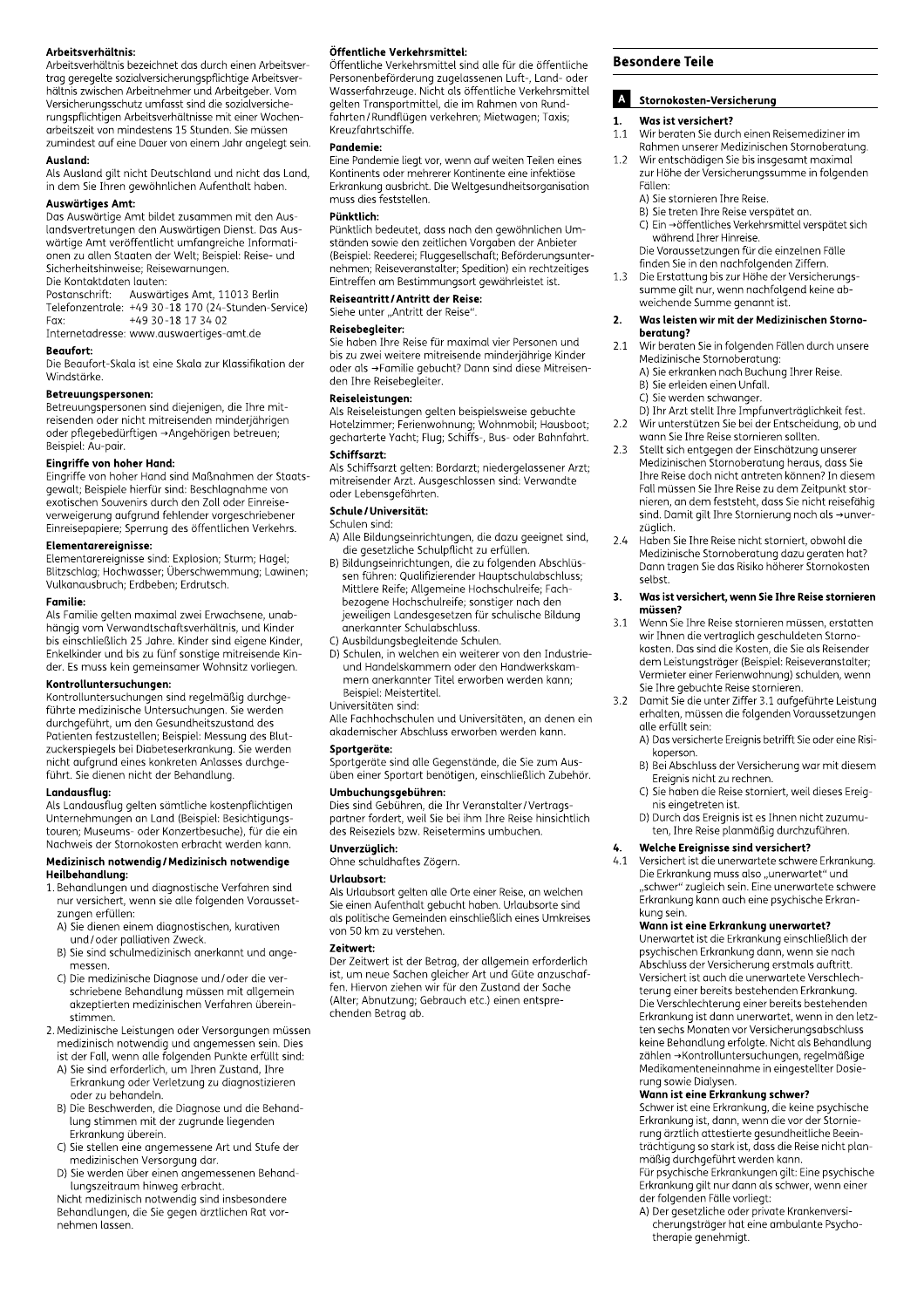# Arbeitsverhältnis:

Arbeitsverhältnis bezeichnet das durch einen Arbeitsvertrag geregelte sozialversicherungspflichtige Arbeitsver hältnis zwischen Arbeitnehmer und Arbeitgeber. Vom Versicherungsschutz umfasst sind die sozialversiche rungspflichtigen Arbeitsverhältnisse mit einer Wochenarbeitszeit von mindestens 15 Stunden. Sie müssen zumindest auf eine Dauer von einem Jahr angelegt sein.

#### Ausland:

Als Ausland gilt nicht Deutschland und nicht das Land, in dem Sie Ihren gewöhnlichen Aufenthalt haben.

#### Auswärtiges Amt:

Das Auswärtige Amt bildet zusammen mit den Auslandsvertretungen den Auswärtigen Dienst. Das Auswärtige Amt veröffentlicht umfangreiche Informationen zu allen Staaten der Welt; Beispiel: Reise- und Sicherheitshinweise; Reisewarnungen. Die Kontaktdaten lauten:

Postanschrift: Auswärtiges Amt, 11013 Berlin<br>Telefonzentrale: +49 30-18 170 (24-Stunden-Service)<br>Fax: +49 30-18 17 34 02 Internetadresse: www.auswaertiges-amt.de

#### Beaufort:

Die Beaufort-Skala ist eine Skala zur Klassifikation der Windstärke.

#### Betreuungspersonen:

Betreuungspersonen sind diejenigen, die Ihre mitreisenden oder nicht mitreisenden minderjährigen oder pflegebedürftigen →Angehörigen betreuen; Beispiel: Au-pair.

#### Eingriffe von hoher Hand:

Eingriffe von hoher Hand sind Maßnahmen der Staatsgewalt: Beispiele hierfür sind: Beschlagnahme von exotischen Souvenirs durch den Zoll oder Einreiseverweigerung aufgrund fehlender vorgeschriebener Einreisepapiere; Sperrung des öffentlichen Verkehrs.

#### Elementarereignisse:

Elementarereignisse sind: Explosion: Sturm; Hagel; Blitzschlag; Hochwasser; Überschwemmung; Lawinen; Vulkanausbruch; Erdbeben; Erdrutsch.

### **Familie:**

Als Familie gelten maximal zwei Erwachsene, unabhängig vom Verwandtschaftsverhältnis, und Kinder bis einschließlich 25 Jahre. Kinder sind eigene Kinder, Enkelkinder und bis zu fünf sonstige mitreisende Kinder. Es muss kein gemeinsamer Wohnsitz vorliegen.

#### Kontrolluntersuchungen:

Kontrolluntersuchungen sind regelmäßig durchgeführte medizinische Untersuchungen. Sie werden durchgeführt, um den Gesundheitszustand des Patienten festzustellen; Beispiel: Messung des Blutzuckerspiegels bei Diabeteserkrankung. Sie werden nicht aufgrund eines konkreten Anlasses durchgeführt. Sie dienen nicht der Behandlung.

#### Landausflug:

Als Landausflug gelten sämtliche kostenpflichtigen Unternehmungen an Land (Beispiel: Besichtigungstouren; Museums- oder Konzertbesuche), für die ein Nachweis der Stornokosten erbracht werden kann.

#### Medizinisch notwendig / Medizinisch notwendige Heilbehandlung:

- 1. Behandlungen und diagnostische Verfahren sind nur versichert, wenn sie alle folgenden Voraussetzungen erfüllen:
- A) Sie dienen einem diagnostischen, kurativen
- und/oder palliativen Zweck.
- B) Sie sind schulmedizinisch anerkannt und angemessen
- C) Die medizinische Diagnose und / oder die verschriebene Behandlung müssen mit allgemein akzeptierten medizinischen Verfahren übereinstimmen.
- 2. Medizinische Leistungen oder Versorgungen müssen medizinische Ecistemigen dass Versorgangen masse<br>medizinisch notwendig und angemessen sein. Dies<br>ist der Fall, wenn alle folgenden Punkte erfüllt sind:
- A) Sie sind erforderlich, um Ihren Zustand, Ihre Sie sind erreitenung zum die Sie sind erste Sie sind erreichtet.<br>Erkrankung oder Verletzung zu diagnostizieren oder zu behandeln.
- B) Die Beschwerden, die Diagnose und die Behandlung stimmen mit der zugrunde liegenden Erkrankung überein.
- C) Sie stellen eine angemessene Art und Stufe der medizinischen Versorgung dar.
- D) Sie werden über einen angemessenen Behandlungszeitraum hinweg erbracht.

Nicht medizinisch notwendig sind insbesondere Behandlungen, die Sie gegen ärztlichen Rat vornehmen lassen.

#### Öffentliche Verkehrsmittel:

Öffentliche Verkehrsmittel sind alle für die öffentliche Personenbeförderung zugelassenen Luft-, Land- oder Wasserfahrzeuge. Nicht als öffentliche Verkehrsmittel gelten Transportmittel, die im Rahmen von Rundfahrten/Rundflügen verkehren; Mietwagen; Taxis; Kreuzfahrtschiffe.

#### Pandemie:

Eine Pandemie liegt vor, wenn auf weiten Teilen eines Kontinents oder mehrerer Kontinente eine infektiöse Erkrankung ausbricht. Die Weltgesundheitsorganisation muss dies feststellen.

## Pünktlich:

Pünktlich bedeutet, dass nach den gewöhnlichen Umständen sowie den zeitlichen Vorgaben der Anbieter (Beispiel: Reederei; Fluggesellschaft; Beförderungsunternehmen; Reiseveranstalter; Spedition) ein rechtzeitiges Eintreffen am Bestimmungsort gewährleistet ist.

# Reiseantritt / Antritt der Reise:

Siehe unter "Antritt der Reise"

#### Reisebegleiter:

.....................<br>Sie haben Ihre Reise für maximal vier Personen und bis zu zwei weitere mitreisende minderjährige Kinder oder als →Familie gebucht? Dann sind diese Mitreisenden Ihre Reisebegleiter.

#### Reiseleistungen:

Als Reiseleistungen gelten beispielsweise gebuchte Hotelzimmer; Ferienwohnung; Wohnmobil; Hausboot; gecharterte Yacht; Flug; Schiffs-, Bus- oder Bahnfahrt. Schiffsarzt:

Als Schiffsarzt gelten: Bordarzt; niedergelassener Arzt; mitreisender Arzt. Ausgeschlossen sind: Verwandte oder Lebensgefährten.

#### Schule/Universität:

#### Schulen sind:

A) Alle Bildungseinrichtungen, die dazu geeignet sind, die gesetzliche Schulpflicht zu erfüllen.

- B) Bildungseinrichtungen, die zu folgenden Abschlüssen führen: Qualifizierender Hauptschulabschluss; Mittlere Reife; Allgemeine Hochschulreife; Fachbezogene Hochschulreife; sonstiger nach den jeweiligen Landesgesetzen für schulische Bildung anerkannter Schulabschluss.
- C) Ausbildungsbegleitende Schulen.
- D) Schulen, in welchen ein weiterer von den Industrieund Handelskammern oder den Handwerkskammern anerkannter Titel erworben werden kann; Beispiel: Meistertitel.
- Universitäten sind:

Alle Fachhochschulen und Universitäten, an denen ein akademischer Abschluss erworben werden kann.

### Sportgeräte:

sportgeräte sind alle Gegenstände, die Sie zum Ausüben einer Sportart benötigen, einschließlich Zubehör. Umbuchungsgebühren:

#### Dies sind Gebühren, die Ihr Veranstalter/Vertragspartner fordert, weil Sie bei ihm Ihre Reise hinsichtlich des Reiseziels bzw. Reisetermins umbuchen.

Unverzüglich:

Ohne schuldhaftes Zögern.

#### Urlaubsort:

Als Urlaubsort gelten alle Orte einer Reise, an welchen Sie einen Aufenthalt gebucht haben. Urlaubsorte sind als politische Gemeinden einschließlich eines Umkreises von 50 km zu verstehen.

# **Zeitwert**

Der Zeitwert ist der Betrag, der allgemein erforderlich ist, um neue Sachen gleicher Art und Güte anzuschaf-<br>fen. Hiervon ziehen wir für den Zustand der Sache (Alter; Abnutzung; Gebrauch etc.) einen entsprechenden Betrag ab.

#### **Besondere Teile**

#### $\mathbf{A}$ Stornokosten-Versicherung

#### $\mathbf{1}$ Was ist versichert?

- Wir beraten Sie durch einen Reisemediziner im  $11$ Rahmen unserer Medizinischen Stornoberatung.
- $1.2$ Wir entschädigen Sie bis insgesamt maximal zur Höhe der Versicherungssumme in folgenden Fällen:
	- A) Sie stornieren Ihre Reise.
	- B) Sie treten Ihre Reise verspätet an.<br>
	C) Ein →öffentliches Verkehrsmittel verspätet sich während Ihrer Hinreise.

warrena inrer Hinreise.<br>Die Voraussetzungen für die einzelnen Fälle<br>finden Sie in den nachfolgenden Ziffern.<br>Die Erstattung bis zur Höhe der Versicherungs-

 $13$ Die Erstattung bis zur norie der versicherung:<br>summe gilt nur, wenn nachfolgend keine ab-<br>weichende Summe genannt ist.

#### Was leisten wir mit der Medizinischen Storno- $\mathbf{z}$ beratung?

- $2.1$ Wir beraten Sie in folgenden Fällen durch unsere Medizinische Stornoberatung:
- A) Sie erkranken nach Buchung Ihrer Reise. B) Sie erleiden einen Unfall.
	- C) Sie werden schwanger.
- D) Ihr Arzt stellt Ihre Impfunverträglichkeit fest. Wir unterstützen Sie bei der Entscheidung, ob und  $2.2$ wann Sie Ihre Reise stornieren sollten.
- Stellt sich entgegen der Einschätzung unserer  $2.3$ Medizinischen Stornoberatung heraus, dass Sie Ihre Reise doch nicht antreten können? In diesem Fall müssen Sie Ihre Reise zu dem Zeitpunkt stornieren, an dem feststeht, dass Sie nicht reisefähig sind. Damit gilt Ihre Stornierung noch als →unverzüglich.
- $2.4$ Haben Sie Ihre Reise nicht storniert, obwohl die Medizinische Stornoberatung dazu geraten hat? Dann tragen Sie das Risiko höherer Stornokosten selbst.

#### Was ist versichert, wenn Sie Ihre Reise stornieren  $3.$ müssen?

- $3.1$ Wenn Sie Ihre Reise stornieren müssen, erstatten wir Ihnen die vertraglich geschuldeten Stornokosten. Das sind die Kosten, die Sie als Reisender dem Leistungsträger (Beispiel: Reiseveranstalter; Vermieter einer Ferienwohnung) schulden, wenn Sie Ihre gebuchte Reise stornieren.
- Damit Sie die unter Ziffer 3.1 aufgeführte Leistung  $3.2$ erhalten, müssen die folgenden Voraussetzungen alle erfüllt sein:
	- A) Das versicherte Ereignis betrifft Sie oder eine Risikoperson.
	- B) Bei Abschluss der Versicherung war mit diesem Ereignis nicht zu rechnen.
	- C) Sie haben die Reise storniert, weil dieses Ereignis eingetreten ist.
	- D) Durch das Ereignis ist es Ihnen nicht zuzumuten, Ihre Reise planmäßig durchzuführen.

#### Welche Ereignisse sind versichert? 4.

Versichert ist die unerwartete schwere Erkrankung.  $4.1$ Die Erkrankung muss also "unerwartet" und<br>"schwer" zugleich sein. Eine unerwartet" und<br>"schwer" zugleich sein. Eine unerwartete schwere Erkrankung kann auch eine psychische Erkrankung sein.

#### Wann ist eine Erkrankung unerwartet?

Unerwartet ist die Erkrankung einschließlich der psychischen Erkrankung dann, wenn sie nach Abschluss der Versicherung erstmals auftritt. Versichert ist auch die unerwartete Verschlechterung einer bereits bestehenden Erkrankung. Die Verschlechterung einer bereits bestehenden Erkrankung ist dann unerwartet, wenn in den letzten sechs Monaten vor Versicherungsabschluss keine Behandlung erfolgte. Nicht als Behandlung zählen →Kontrolluntersuchungen, regelmäßige Medikamenteneinnahme in eingestellter Dosierung sowie Dialysen.

## Wann ist eine Erkrankung schwer?

Schwer ist eine Erkrankung, die keine psychische Erkrankung ist, dann, wenn die vor der Stornierung ärztlich attestierte gesundheitliche Beeinträchtigung so stark ist, dass die Reise nicht planmäßig durchgeführt werden kann. Für psychische Erkrankungen gilt: Eine psychische

Erkrankung gilt nur dann als schwer, wenn einer der folgenden Fälle vorliegt:

A) Der gesetzliche oder private Krankenversicherungsträger hat eine ambulante Psychotherapie genehmigt.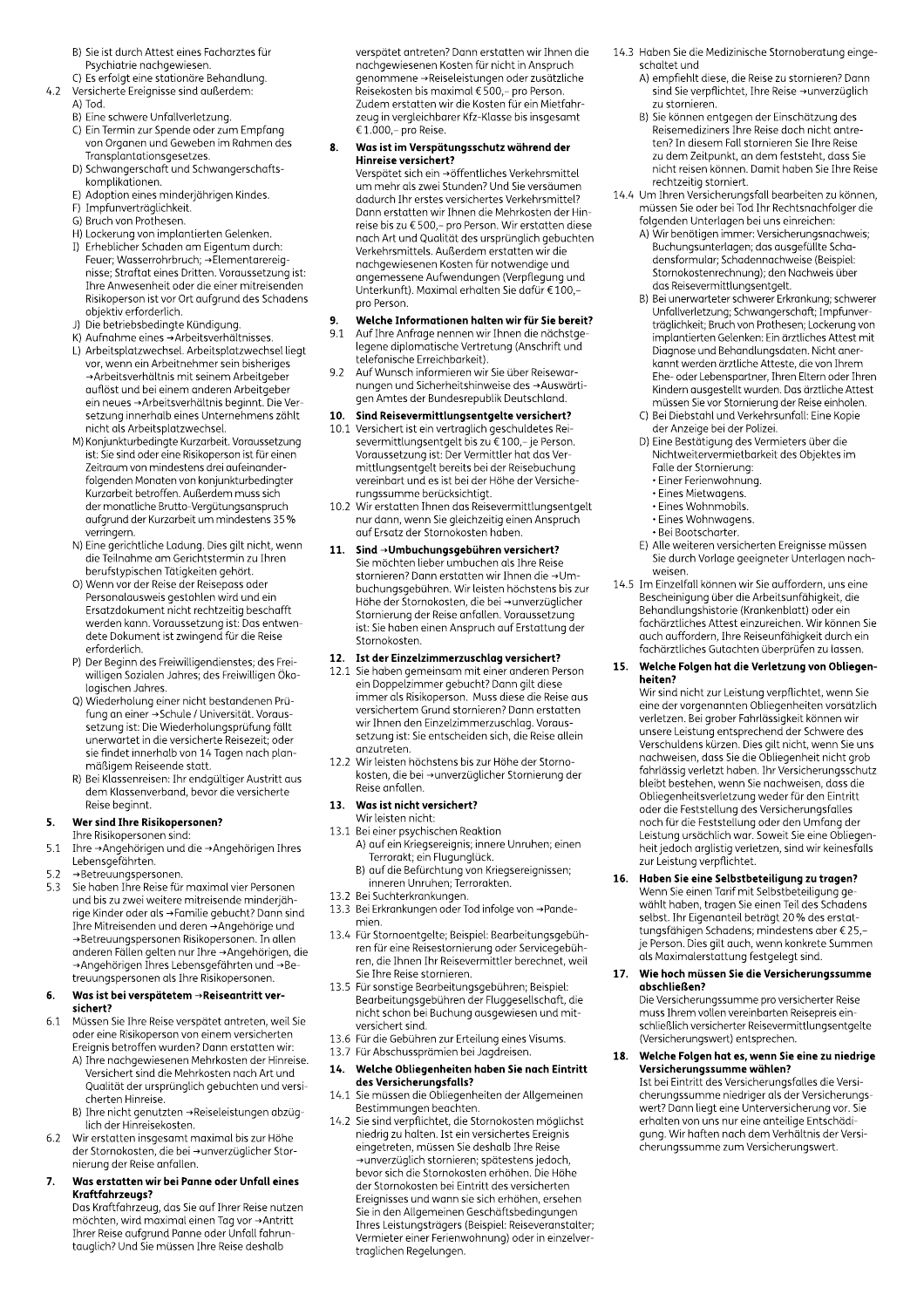- B) Sie ist durch Attest eines Facharztes für Psychiatrie nachgewiesen.
- C) Es erfolgt eine stationäre Behandlung.  $4.2$ Versicherte Ereignisse sind außerdem:
	- A) Tod.
	- B) Eine schwere Unfallverletzung.
	- C) Ein Termin zur Spende oder zum Empfang von Organen und Geweben im Rahmen des Transplantationsgesetzes.
	- D) Schwangerschaft und Schwangerschaftskomplikationen.
	- E) Adoption eines minderjährigen Kindes.
	- F) Impfunverträglichkeit.
	- G) Bruch von Prothesen.
	- H) Lockerung von implantierten Gelenken. I) Erheblicher Schaden am Eigentum durch:<br>Feuer; Wasserrohrbruch; →Elementarereignisse; Straftat eines Dritten. Voraussetzung ist: Ihre Anwesenheit oder die einer mitreisenden Risikoperson ist vor Ort aufgrund des Schadens objektiv erforderlich.
	- objektiv erionaenten.<br>3) Die betriebsbedingte Kündigung.<br>5) Aufnahme eines →Arbeitsverhältnisses.
	-
	- L) Arbeitsplatzwechsel. Arbeitsplatzwechsel liegt vor, wenn ein Arbeitnehmer sein bisheriges auflöst und bei einem anderen Arbeitgeber ein neues → Arbeitsverhältnis beginnt. Die Versetzung innerhalb eines Unternehmens zählt nicht als Arbeitsplatzwechsel.
	- M) Konjunkturbedingte Kurzarbeit. Vorgussetzung ist: Sie sind oder eine Risikoperson ist für einen Zeitraum von mindestens drei aufeinanderfolgenden Monaten von konjunkturbedingter Kurzarbeit betroffen. Außerdem muss sich der monatliche Brutto-Vergütungsanspruch aufgrund der Kurzarbeit um mindestens 35% verringern
	- N) Eine gerichtliche Ladung. Dies gilt nicht, wenn die Teilnahme am Gerichtstermin zu Ihren berufstypischen Tätigkeiten gehört.
	- 0) Wenn vor der Reise der Reisepass oder Personalausweis gestohlen wird und ein Ersatzdokument nicht rechtzeitig beschafft werden kann. Voraussetzung ist: Das entwendete Dokument ist zwingend für die Reise erforderlich.
	- P) Der Beginn des Freiwilligendienstes; des Freiwilligen Sozialen Jahres; des Freiwilligen Ökologischen Jahres.
	- Q) Wiederholung einer nicht bestandenen Prüfung an einer → Schule / Universität. Voraussetzung ist: Die Wiederholungsprüfung fällt unerwartet in die versicherte Reisezeit; oder sie findet innerhalb von 14 Tagen nach planmäßigem Reiseende statt.
	- R) Bei Klassenreisen: Ihr endgültiger Austritt aus dem Klassenverband, bevor die versicherte Reise beginnt.

#### Wer sind Ihre Risikopersonen?  $5.$

- Ihre Risikopersonen sind:<br>Ihre  $\rightarrow$ Angehörigen und die →Angehörigen Ihres  $51$ Lebensgefährten.
- $52$
- →Betreuungspersonen.<br>→Betreuungspersonen.<br>Sie haben Ihre Reise für maximal vier Personen  $53$ und bis zu zwei weitere mitreisende minderjäh-<br>rige Kinder oder als →Familie gebucht? Dann sind Ihre Mitreisenden und deren → Angehörige und →Betreuungspersonen Risikopersonen. In allen anderen Fällen gelten nur Ihre →Angehörigen, die anderenn diten getten nammen mingenongen, d<br>→Andehörigen Ihres Lebensgefährten und →Betreuungspersonen als Ihre Risikopersonen.

#### 6. Was ist bei verspätetem  $\rightarrow$  Reiseantritt versichert?

- Müssen Sie Ihre Reise verspätet antreten, weil Sie  $6.1$ oder eine Risikoperson von einem versicherten Ereignis betroffen wurden? Dann erstatten wir:
	- A) Ihre nachgewiesenen Mehrkosten der Hinreise. Versichert sind die Mehrkosten nach Art und Qualität der ursprünglich gebuchten und versicherten Hinreise.
	- B) Ihre nicht genutzten →Reiseleistungen abzüglich der Hinreisekosten.
- Wir erstatten insgesamt maximal bis zur Höhe 6.2 der Stornokosten, die bei →unverzüglicher Stornierung der Reise anfallen.

#### $\overline{7}$ Was erstatten wir bei Panne oder Unfall eines Kraftfahrzeugs?

Das Kraftfahrzeug, das Sie auf Ihrer Reise nutzen möchten, wird maximal einen Tag vor → Antritt Ihrer Reise aufgrund Panne oder Unfall fahruntauglich? Und Sie müssen Ihre Reise deshalb

verspätet antreten? Dann erstatten wir Ihnen die nachgewiesenen Kosten für nicht in Anspruch genommene →Reiseleistungen oder zusätzliche Reisekosten bis maximal € 500,- pro Person. Zudem erstatten wir die Kosten für ein Mietfahrzeug in vergleichbarer Kfz-Klasse bis insgesamt € 1.000, - pro Reise.

#### Was ist im Verspätungsschutz während der 8. Hinreise versichert?

Verspätet sich ein →öffentliches Verkehrsmittel um mehr als zwei Stunden? Und Sie versäumen dadurch Ihr erstes versichertes Verkehrsmittel? Dann erstatten wir Ihnen die Mehrkosten der Hinreise bis zu €500,- pro Person. Wir erstatten diese nach Art und Qualität des ursprünglich gebuchten Verkehrsmittels. Außerdem erstatten wir die nachgewiesenen Kosten für notwendige und angemessene Aufwendungen (Verpflegung und Unterkunft). Maximal erhalten Sie dafür €100,pro Person.

#### Welche Informationen halten wir für Sie bereit?  $\bullet$

- Auf Ihre Anfrage nennen wir Ihnen die nächstge-<br>Legene diplomatische Vertretung (Anschrift und 9.1 telefonische Erreichbarkeit).
- Auf Wunsch informieren wir Sie über Reisewar-9.2 nungen und Sicherheitshinweise des →Auswärtigen Amtes der Bundesrepublik Deutschland.

# 10. Sind Reisevermittlungsentgelte versichert?

- Sina Reisevermittlangseingente versiehert:<br>Versichert ist ein vertraglich geschuldetes Reisevermittlungsentgelt bis zu €100,– je Person. 10.1 beven medangseneged ordered exec, you encour mittlungsentgelt bereits bei der Reisebuchung vereinbart und es ist bei der Höhe der Versicherungssumme berücksichtigt.
- $102$ Wir erstatten Ihnen das Reisevermittlungsentgelt nur dann, wenn Sie gleichzeitig einen Anspruch auf Ersatz der Stornokosten haben.

#### Sind →Umbuchungsgebühren versichert?  $11.$

Sie möchten lieber umbuchen als Ihre Reise stornieren? Dann erstatten wir Ihnen die →Umbuchungsgebühren. Wir leisten höchstens bis zur Höhe der Stornokosten, die bei →unverzüglicher Stornierung der Reise anfallen. Voraussetzung ist: Sie haben einen Anspruch auf Erstattung der Stornokosten.

# 12. Ist der Einzelzimmerzuschlag versichert?

- 12.1 Sie haben gemeinsam mit einer anderen Person ein Doppelzimmer gebucht? Dann gilt diese immer als Risikoperson. Muss diese die Reise aus versichertem Grund stornieren? Dann erstatten wir Ihnen den Einzelzimmerzuschlag. Voraussetzung ist: Sie entscheiden sich, die Reise allein anzutreten.
- 12.2 Wir leisten höchstens bis zur Höhe der Stornokosten, die bei →unverzüglicher Stornierung der Reise anfallen.

#### $13.$ Was ist nicht versichert?

- Wir leisten nicht:
- 13.1 Bei einer psychischen Reaktion A) auf ein Kriegsereignis; innere Unruhen; einen<br>Terrorakt; ein Flugunglück.
	- B) auf die Befürchtung von Kriegsereignissen;<br>inneren Unruhen; Terrorakten.
- 13.2 Bei Suchterkrankungen.
- 13.3 Bei Erkrankungen oder Tod infolge von →Pandemien.
- ren, die Ihnen Ihr Reisevermittler berechnet, weil Sie Ihre Reise stornieren.
- 3.5 Für sonstige Bearbeitungsgebühren; Beispiel:<br>13.5 Für sonstige Bearbeitungsgebühren.<br>Bearbeitungsgebühren der Fluggesellschaft, die nicht schon bei Buchung ausgewiesen und mitversichert sind.
- 13.6 Für die Gebühren zur Erteilung eines Visums.

#### 13.7 Für Abschussprämien bei Jagdreisen. Welche Obliegenheiten haben Sie nach Eintritt  $14.$

- des Versicherungsfalls? sie müssen die Obliegenheiten der Allgemeinen  $14.1$ Bestimmungen beachten.
- 14.2 Sie sind verpflichtet, die Stornokosten möglichst niedrig zu halten. Ist ein versichertes Ereignis eingetreten, müssen Sie deshalb Ihre Reise →unverzüglich stornieren; spätestens jedoch, bevor sich die Stornokosten erhöhen. Die Höhe der Stornokosten bei Eintritt des versicherten Ereignisses und wann sie sich erhöhen, ersehen Sie in den Allgemeinen Geschäftsbedingungen Ihres Leistungsträgers (Beispiel: Reiseveranstalter; Vermieter einer Ferienwohnung) oder in einzelver traglichen Regelungen.
- 14.3 Haben Sie die Medizinische Stornoberatung eingeschaltet und
	- A) empfiehlt diese, die Reise zu stornieren? Dann sind Sie verpflichtet, Ihre Reise →unverzüglich zu stornieren.
	- B) Sie können entgegen der Einschätzung des Reisemediziners Ihre Reise doch nicht antreten? In diesem Fall stornieren Sie Ihre Reise zu dem Zeitpunkt, an dem feststeht, dass Sie nicht reisen können. Damit haben Sie Ihre Reise rechtzeitig storniert.
- 14.4 Um Ihren Versicherungsfall bearbeiten zu können, müssen Sie oder bei Tod Ihr Rechtsnachfolger die folgenden Unterlagen bei uns einreichen:
	- A) Wir benötigen immer: Versicherungsnachweis; Buchungsunterlagen; das ausgefüllte Schadensformular; Schadennachweise (Beispiel: Stornokostenrechnung); den Nachweis über das Reisevermittlungsentgelt.
	- us Neisevermintungseringen.<br>
	B) Bei unerwarteter schwerer Erkrankung; schwerer<br>
	Unfallverletzung; Schwangerschaft; Impfunver-<br>
	träglichkeit; Bruch von Prothesen; Lockerung von<br>
	implantierten Gelenken: Ein ärztliches Attest Diagnose und Behandlungsdaten. Nicht aner-<br>kannt werden ärztliche Atteste, die von Ihrem The version of zuche Access, die von Intern<br>Ehe- oder Lebenspartner, Ihren Eltern oder Ihren<br>Kindern ausgestellt wurden. Das ärztliche Attest minerin dasgestellt windern bas dramme Attendien.<br>The müssen Sie vor Stornierung der Reise einholen.<br>C) Bei Diebstahl und Verkehrsunfall: Eine Kopie
	- der Anzeige bei der Polizei.
	- D) Eine Bestätigung des Vermieters über die Nichtweitervermietbarkeit des Objektes im Falle der Stornierung:
		- · Einer Ferienwohnung. · Eines Mietwagens.
		- · Eines Wohnmobils.
		- · Eines Wohnwagens.
		- Bei Bootscharter.
	- E) Alle weiteren versicherten Ereignisse müssen Sie durch Vorlage geeigneter Unterlagen nachweisen
- 14.5 Im Einzelfall können wir Sie auffordern, uns eine Bescheinigung über die Arbeitsunfähigkeit, die Behandlungshistorie (Krankenblatt) oder ein fachärztliches Attest einzureichen. Wir können Sie auch auffordern, Ihre Reiseunfähigkeit durch ein fachärztliches Gutachten überprüfen zu lassen.

#### Welche Folgen hat die Verletzung von Obliegen-15. heiten?

Wir sind nicht zur Leistung verpflichtet, wenn Sie eine der vorgenannten Obliegenheiten vorsätzlich verletzen. Bei grober Fahrlässigkeit können wir unsere Leistung entsprechend der Schwere des Verschuldens kürzen. Dies gilt nicht, wenn Sie uns nachweisen, dass Sie die Obliegenheit nicht grob fahrlässig verletzt haben. Ihr Versicherungsschutz bleibt bestehen, wenn Sie nachweisen, dass die Obliegenheitsverletzung weder für den Eintritt oder die Feststellung des Versicherungsfalles noch für die Feststellung oder den Umfang der Leistung ursächlich war. Soweit Sie eine Obliegen-<br>heit jedoch arglistig verletzen, sind wir keinesfalls zur Leistung verpflichtet.

# $16.$

Haben Sie eine Selbstbeteiligung zu tragen?<br>Wenn Sie einen Tarif mit Selbstbeteiligung ge-<br>wählt haben, tragen Sie einen Teil des Schadens want nasch, tragen sie einen reit des senader<br>selbst. Ihr Eigenanteil beträgt 20 % des erstatselbst. In Eigendnich betragt Le Mace erster.<br>tunasfähigen Schadens; mindestens aber €25, id.ig.id.igen.com.ade.i.g.mindeseens.com.edu.com<br>je Person. Dies gilt auch, wenn konkrete Summen<br>als Maximalerstattung festgelegt sind.

#### Wie hoch müssen Sie die Versicherungssumme 17. abschließen?

Die Versicherungssumme pro versicherter Reise muss Ihrem vollen vereinbarten Reisepreis einschließlich versicherter Reisevermittlungsentgelte (Versicherungswert) entsprechen.

#### Welche Folgen hat es, wenn Sie eine zu niedrige 18. Versicherungssumme wählen?

Ist bei Eintritt des Versicherungsfalles die Versicherungssumme niedriger als der Versicherungswert? Dann liegt eine Unterversicherung vor. Sie erhalten von uns nur eine anteilige Entschädiqung. Wir haften nach dem Verhältnis der Versicherungssumme zum Versicherungswert.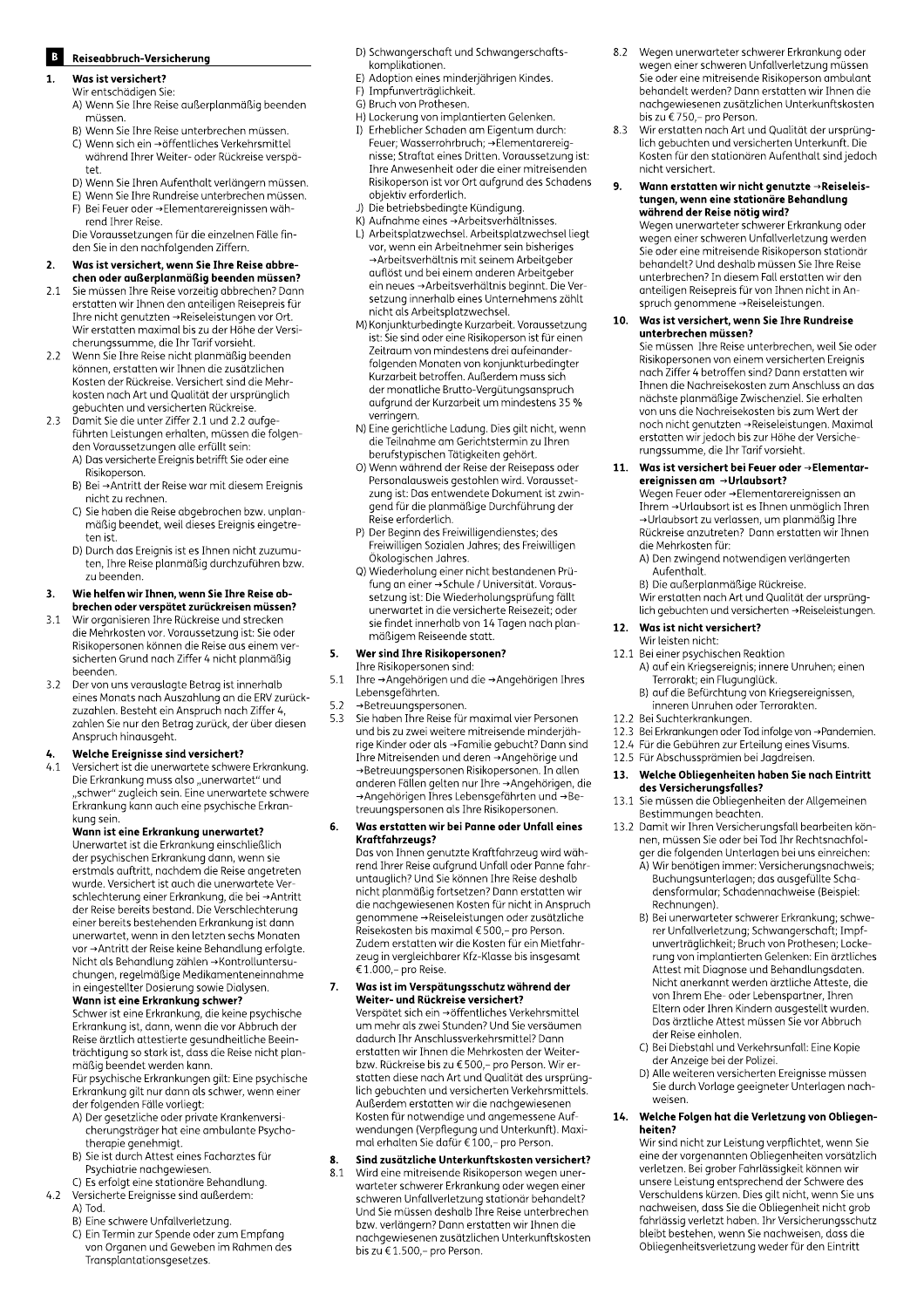# **B** Reiseabbruch-Versicherung

# Was ist versichert?

- Wir entschädigen Sie: A) Wenn Sie Ihre Reise außerplanmäßig beenden müssen
- B) Wenn Sie Ihre Reise unterbrechen müssen. C) Wenn sich ein →öffentliches Verkehrsmittel
- während Ihrer Weiter- oder Rückreise verspätet.
- D) Wenn Sie Ihren Aufenthalt verlängern müssen.
- E) Wenn Sie Ihre Rundreise unterbrechen müssen.
- F) Bei Feuer oder →Elementarereignissen während Ihrer Reise.

Die Voraussetzungen für die einzelnen Fälle finden Sie in den nachfolgenden Ziffern.

#### $\overline{2}$ . Was ist versichert, wenn Sie Ihre Reise abbrechen oder außerplanmäßig beenden müssen?

- $21$ Sie müssen Ihre Reise vorzeitig abbrechen? Dann erstatten wir Ihnen den anteiligen Reisepreis für Ihre nicht genutzten →Reiseleistungen vor Ort. Wir erstatten maximal bis zu der Höhe der Versicherungssumme, die Ihr Tarif vorsieht.
- Wenn Sie Ihre Reise nicht planmäßig beenden  $22$ können, erstatten wir Ihnen die zusätzlichen Kosten der Rückreise. Versichert sind die Mehrkosten nach Art und Qualität der ursprünglich<br>gebuchten und versicherten Rückreise.
- gebuchten und versichenen Nachselber<br>Damit Sie die unter Ziffer 2.1 und 2.2 aufge-<br>führten Leistungen erhalten, müssen die folgen- $2.3$ den Voraussetzungen einaten, massen die Totge<br>den Voraussetzungen alle erfüllt sein:<br>A) Das versicherte Ereignis betrifft Sie oder eine
	- Risikoperson.  $B$ ) Bei  $\rightarrow$  Antritt der Reise war mit diesem Ereignis nicht zu rechnen.
	- C) Sie haben die Reise abgebrochen bzw. unplanmäßig beendet, weil dieses Ereignis eingetreten ist.
	- D) Durch das Ereignis ist es Ihnen nicht zuzumuten, Ihre Reise planmäßig durchzuführen bzw. zu beenden.

#### Wie helfen wir Ihnen, wenn Sie Ihre Reise ab- $\overline{3}$ . brechen oder verspätet zurückreisen müssen?

- Wir organisieren Ihre Rückreise und strecken  $3.1$ die Mehrkosten vor. Voraussetzung ist: Sie oder Risikopersonen können die Reise aus einem versicherten Grund nach Ziffer 4 nicht planmäßig beenden.
- Der von uns verauslagte Betrag ist innerhalb  $3.2$ eines Monats nach Auszahlung an die ERV zurückzuzahlen. Besteht ein Anspruch nach Ziffer 4, zahlen Sie nur den Betrag zurück, der über diesen Anspruch hinausgeht.

# Welche Ereignisse sind versichert?

 $41$ Versichert ist die unerwartete schwere Erkrankung. Die Erkrankung muss also "unerwartet" und "schwer" zugleich sein. Eine unerwartete schwere Erkrankung kann auch eine psychische Erkrankung sein.

# Wann ist eine Erkrankung unerwartet?

Unerwartet ist die Erkrankung einschließlich der psychischen Erkrankung dann, wenn sie erstmals auftritt, nachdem die Reise angetreten wurde. Versichert ist auch die unerwartete Verschlechterung einer Erkrankung, die bei →Antritt<br>der Reise bereits bestand. Die Verschlechterung einer bereits bestehenden Erkrankung ist dann unerwartet, wenn in den letzten sechs Monaten vor → Antritt der Reise keine Behandlung erfolgte. vor →Antritt der Reise Reine Benandung erlogte.<br>Nicht als Behandlung zählen →Kontrolluntersu-<br>chungen, regelmäßige Medikamenteneinnahme<br>in eingestellter Dosierung sowie Dialysen.<br>**Wann ist eine Erkrankung schwer?** 

**Wann ist eine Erkrankung schwer:**<br>Schwer ist eine Erkrankung, die keine psychische<br>Erkrankung ist, dann, wenn die vor Abbruch der<br>Reise ärztlich attestierte gesundheitliche Beein-Neise diztitui ditestierte gesundmentione been i-<br>trächtigung so stark ist, dass die Reise nicht plan-<br>mäßig beendet werden kann.

Für psychische Erkrankungen gilt: Eine psychische Tar psychische Endankungen gitt. Eine psychisch<br>Erkrankung gilt nur dann als schwer, wenn einer<br>der folgenden Fälle vorliegt:

- A) Der gesetzliche oder private Krankenversicherungsträger hat eine ambulante Psychotherapie genehmigt.
- B) Sie ist durch Attest eines Facharztes für Psychiatrie nachgewiesen.
- C) Es erfolgt eine stationäre Behandlung. Versicherte Ereignisse sind außerdem:
- A) Tod.

 $4.2$ 

- B) Eine schwere Unfallverletzung.
- C) Ein Termin zur Spende oder zum Empfang von Organen und Geweben im Rahmen des Transplantationsgesetzes.
- D) Schwangerschaft und Schwangerschaftskomplikationen.
- E) Adoption eines minderjährigen Kindes.
- F) Impfunverträglichkeit.
- G) Bruch von Prothesen.
- H) Lockerung von implantierten Gelenken. I) Erheblicher Schaden am Eigentum durch: Feuer; Wasserrohrbruch; → Elementarereignisse; Straftat eines Dritten. Voraussetzung ist: Ihre Anwesenheit oder die einer mitreisenden Risikoperson ist vor Ort aufgrund des Schadens objektiv erforderlich.
- J) Die betriebsbedingte Kündigung.
- K) Aufnahme eines → Arbeitsverhältnisses.
- L) Arbeitsplatzwechsel. Arbeitsplatzwechsel liegt vor, wenn ein Arbeitnehmer sein bisheriges  $\rightarrow$  Arbeitsverhältnis mit seinem Arbeitgeber<br>auflöst und bei einem anderen Arbeitgeber<br>ein neues → Arbeitsverhältnis beginnt. Die Versetzung innerhalb eines Unternehmens zählt nicht als Arbeitsplatzwechsel.
- riicht als Arbeitsplatzwechsel.<br>M) Konjunkturbedingte Kurzarbeit. Voraussetzung<br>ist: Sie sind oder eine Risikoperson ist für einen Zeitraum von mindestens drei aufeinanderfolgenden Monaten von konjunkturbedingter Kurzarbeit betroffen. Außerdem muss sich der monatliche Brutto-Vergütungsanspruch aufgrund der Kurzarbeit um mindestens 35 % verringern.
- vermigen..<br>N) Eine gerichtliche Ladung. Dies gilt nicht, wenn<br>die Teilnahme am Gerichtstermin zu Ihren berufstypischen Tätigkeiten gehört.
- 0) Wenn während der Reise der Reisepass oder Personalausweis gestohlen wird. Voraussetzung ist: Das entwendete Dokument ist zwingend für die planmäßige Durchführung der Reise erforderlich.
- P) Der Beginn des Freiwilligendienstes; des Freiwilligen Sozialen Jahres; des Freiwilligen Ökologischen Jahres.
- Q) Wiederholung einer nicht bestandenen Prüfung an einer →Schule / Universität. Voraussetzung ist: Die Wiederholungsprüfung fällt unerwartet in die versicherte Reisezeit, oder sie findet innerhalb von 14 Tagen nach planmäßigem Reiseende statt.

#### Wer sind Ihre Risikopersonen? 5.

- Ihre Risikopersonen sind:  $5.1$ Ihre →Angehörigen und die →Angehörigen Ihres Lebensgefährten.
- $5.2$ →Betreuungspersonen.
- $5.3$ Sie haben Ihre Reise für maximal vier Personen und bis zu zwei weitere mitreisende minderjährige Kinder oder als → Familie gebucht? Dann sind Ihre Mitreisenden und deren → Angehörige und →Betreuungspersonen Risikopersonen. In allen anderen Fällen gelten nur Ihre →Angehörigen, die →Angehörigen Ihres Lebensgefährten und →Betreuungspersonen als Ihre Risikopersonen.

#### Was erstatten wir bei Panne oder Unfall eines 6. Kraftfahrzeugs?

Das von Ihnen genutzte Kraftfahrzeug wird während Three Reise aufgrund Unfall oder Panne fahr-<br>untauglich? Und Sie können Ihre Reise deshalb nicusgisch: Ond die Konnen ihre Keise desnab<br>nicht planmäßig fortsetzen? Dann erstatten wir<br>die nachgewiesenen Kosten für nicht in Anspruch die nachgewiesender noster nach mehr unspruchen<br>genommene →Reiseleistungen oder zusätzliche<br>Reisekosten bis maximal € 500,– pro Person. Zudem erstatten wir die Kosten für ein Mietfahrzeug in vergleichbarer Kfz-Klasse bis insgesamt € 1.000,- pro Reise.

## Was ist im Verspätungsschutz während der<br>Weiter- und Rückreise versichert?  $\overline{7}$ .

Verspätet sich ein →öffentliches Verkehrsmittel um mehr als zwei Stunden? Und Sie versäumen dadurch Ihr Anschlussverkehrsmittel? Dann erstatten wir Ihnen die Mehrkosten der Weiterbzw. Rückreise bis zu €500,- pro Person. Wir erstatten diese nach Art und Qualität des ursprünglich gebuchten und versicherten Verkehrsmittels. Außerdem erstatten wir die nachgewiesenen Kosten für notwendige und angemessene Aufwendungen (Verpflegung und Unterkunft). Maximal erhalten Sie dafür € 100,- pro Person.

#### Sind zusätzliche Unterkunftskosten versichert? 8.

Wird eine mitreisende Risikoperson wegen uner- $8.1$ warteter schwerer Erkrankung oder wegen einer schweren Unfallverletzung stationär behandelt? Und Sie müssen deshalb Ihre Reise unterbrechen bzw. verlängern? Dann erstatten wir Ihnen die nachgewiesenen zusätzlichen Unterkunftskosten bis zu €1.500,- pro Person.

- Wegen unerwarteter schwerer Erkrankung oder 8.2 wegen einer schweren Unfallverletzung müssen Sie oder eine mitreisende Risikoperson ambulant behandelt werden? Dann erstatten wir Ihnen die nachgewiesenen zusätzlichen Unterkunftskosten bis zu €750,- pro Person.
- Wir erstatten nach Art und Qualität der ursprüng-8.3 lich gebuchten und versicherten Unterkunft. Die Kosten für den stationären Aufenthalt sind jedoch nicht versichert.

#### 9. Wann erstatten wir nicht genutzte  $\rightarrow$ Reiseleistungen, wenn eine stationäre Behandlung während der Reise nötig wird?

Wegen unerwarteter schwerer Erkrankung oder wegen einer schweren Unfallverletzung werden Sie oder eine mitreisende Risikoperson stationär behandelt? Und deshalb müssen Sie Ihre Reise unterbrechen? In diesem Fall erstatten wir den<br>anteiligen Reisepreis für von Ihnen nicht in Anspruch genommene → Reiseleistungen.

#### Was ist versichert, wenn Sie Ihre Rundreise  $10.$ unterbrechen müssen?

Sie müssen Ihre Reise unterbrechen, weil Sie oder Risikopersonen von einem versicherten Ereignis<br>nach Ziffer 4 betroffen sind? Dann erstatten wir Ihnen die Nachreisekosten zum Anschluss an das nächste planmäßige Zwischenziel. Sie erhalten von uns die Nachreisekosten bis zum Wert der noch nicht genutzten → Reiseleistungen. Maximal erstatten wir jedoch bis zur Höhe der Versicherungssumme, die Ihr Tarif vorsieht.

#### Was ist versichert bei Feuer oder →Elementar- $11.$ ereignissen am →Urlaubsort?

Wegen Feuer oder →Elementarereignissen an Threm →Urlaubsort ist es Ihnen unmöglich Ihren →Urlaubsort zu verlassen, um planmäßig Ihre Rückreise anzutreten? Dann erstatten wir Ihnen die Mehrkosten für:

- A) Den zwingend notwendigen verlängerten Aufenthalt.
- B) Die außerplanmäßige Rückreise.

Wir erstatten nach Art und Qualität der ursprünglich gebuchten und versicherten → Reiseleistungen.

# Was ist nicht versichert?

#### Wir leisten nicht: 12.1 Bei einer psychischen Reaktion A) auf ein Kriegsereignis; innere Unruhen; einen

- Terrorakt; ein Flugunglück. B) auf die Befürchtung von Kriegsereignissen,
- inneren Unruhen oder Terrorakten.
- 12.2 Bei Suchterkrankungen.
- 12.3 Bei Erkrankungen oder Tod infolge von →Pandemien.
- 12.4 Für die Gebühren zur Erteilung eines Visums.
- 12.5 Für Abschussprämien bei Jagdreisen.

#### Welche Obliegenheiten haben Sie nach Eintritt 13. des Versicherungsfalles?

- Sie müssen die Obliegenheiten der Allgemeinen 13.1 Bestimmungen beachten.
- 13.2 Damit wir Ihren Versicherungsfall bearbeiten können, müssen Sie oder bei Tod Ihr Rechtsnachfolger die folgenden Unterlagen bei uns einreichen: A) Wir benötigen immer: Versicherungsnachweis; Buchungsunterlagen; das ausgefüllte Scha-

densformular; Schadennachweise (Beispiel: Rechnungen).

- Rechnungen,<br>B) Bei unerwarteter schwerer Erkrankung; schwerer Unfallverletzung; Schwangerschaft; Impf-<br>unverträglichkeit; Bruch von Prothesen; Locke-<br>rung von implantierten Gelenken: Ein ärztliches Attest mit Diagnose und Behandlungsdaten. Nicht anerkannt werden ärztliche Atteste, die von Ihrem Ehe- oder Lebenspartner, Ihren Eltern oder Ihren Kindern ausgestellt wurden. Das ärztliche Attest müssen Sie vor Abbruch der Reise einholen.
- C) Bei Diebstahl und Verkehrsunfall: Eine Kopie der Anzeige bei der Polizei.
- D) Alle weiteren versicherten Ereignisse müssen Sie durch Vorlage geeigneter Unterlagen nachweisen.

#### 14. Welche Folgen hat die Verletzung von Obliegenheiten?

Wir sind nicht zur Leistung verpflichtet, wenn Sie eine der vorgenannten Obliegenheiten vorsätzlich verletzen. Bei grober Fahrlässigkeit können wir unsere Leistung entsprechend der Schwere des Verschuldens kürzen. Dies gilt nicht, wenn Sie uns nachweisen, dass Sie die Obliegenheit nicht grob fahrlässig verletzt haben. Ihr Versicherungsschutz bleibt bestehen, wenn Sie nachweisen, dass die Obliegenheitsverletzung weder für den Eintritt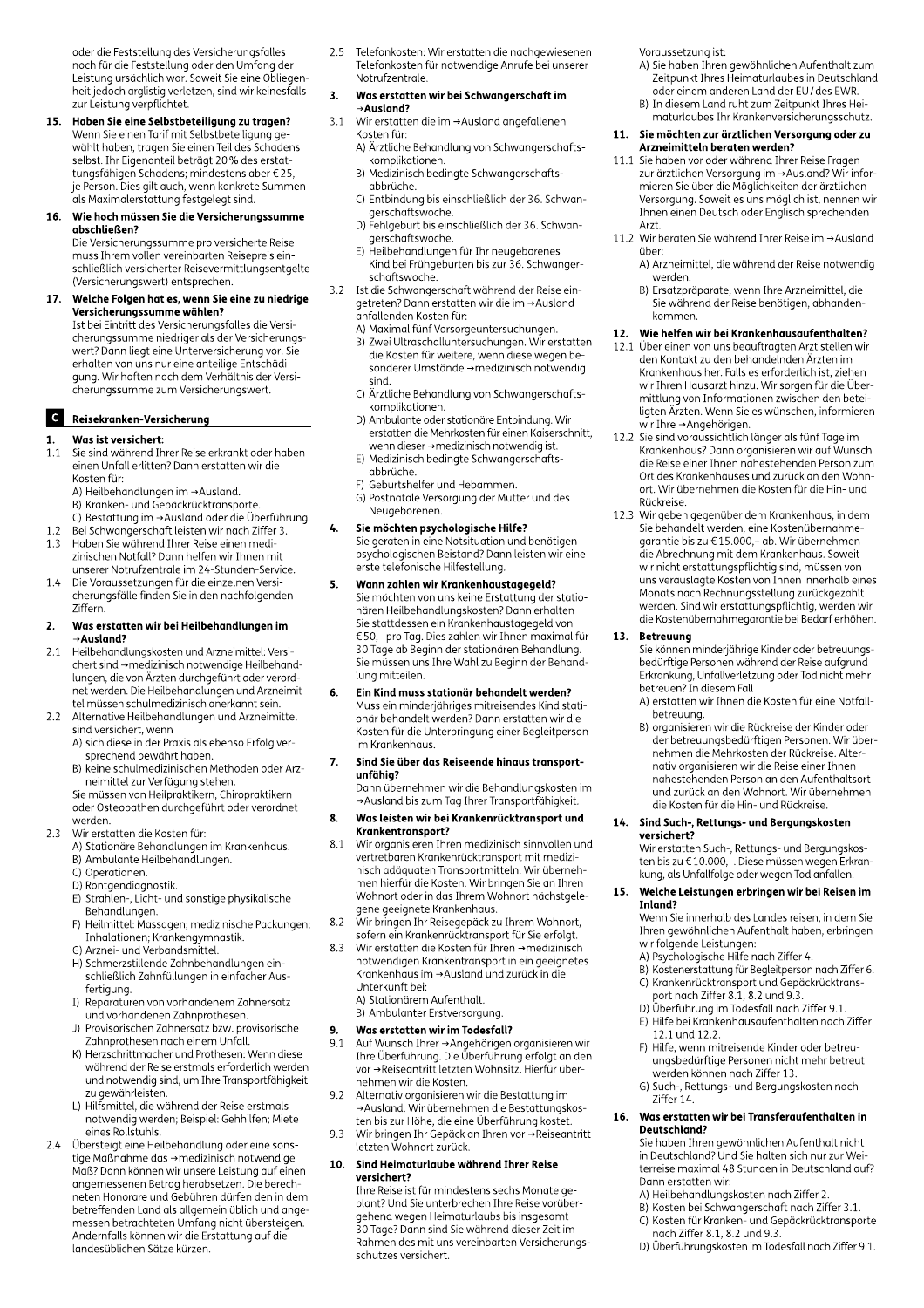oder die Feststellung des Versicherungsfalles noch für die Feststellung oder den Umfang der Leistung ursächlich war. Soweit Sie eine Obliegenheit jedoch arglistig verletzen, sind wir keinesfalls zur Leistung verpflichtet.

Haben Sie eine Selbstbeteiligung zu tragen?  $15.$ Wenn Sie einen Tarif mit Selbstbeteiligung ge wählt haben, tragen Sie einen Teil des Schadens selbst. Ihr Eigenanteil beträgt 20% des erstattungsfähigen Schadens; mindestens aber €25,je Person. Dies gilt auch, wenn konkrete Summen als Maximalerstattung festgelegt sind.

#### 16. Wie hoch müssen Sie die Versicherungssumme abschließen? Die Versicherungssumme pro versicherte Reise muss Ihrem vollen vereinbarten Reisepreis ein-

schließlich versicherter Reisevermittlungsentgelte (Versicherungswert) entsprechen.

Welche Folgen hat es, wenn Sie eine zu niedrige 17. Versicherungssumme wählen? Ist bei Eintritt des Versicherungsfalles die Versicherungssumme niedriger als der Versicherungswert? Dann liegt eine Unterversicherung vor. Sie erhalten von uns nur eine anteilige Entschädiqung. Wir haften nach dem Verhältnis der Versicherungssumme zum Versicherungswert.

# C Reisekranken-Versicherung

#### Was ist versichert:

- $1.1$ Sie sind während Ihrer Reise erkrankt oder haben einen Unfall erlitten? Dann erstatten wir die Kosten für:
	- A) Heilbehandlungen im → Ausland.
	- B) Kranken- und Gepäckrücktransporte.
	- C) Bestattung im → Ausland oder die Überführung.
- Bei Schwangerschaft leisten wir nach Ziffer 3.  $1.2$  $1.3$ Haben Sie während Ihrer Reise einen medizinischen Notfall? Dann helfen wir Ihnen mit unserer Notrufzentrale im 24-Stunden-Service.
- $1.4$ Die Voraussetzungen für die einzelnen Versicherungsfälle finden Sie in den nachfolgenden 7iffern

#### Was erstatten wir bei Heilbehandlungen im  $\overline{2}$  $\rightarrow$ Ausland?

- Heilbehandlungskosten und Arzneimittel: Versi- $21$ Chert sind →medizinisch notwendige Heilbehand-<br>lungen, die von Ärzten durchgeführt oder verordnet werden. Die Heilbehandlungen und Arzneimittel müssen schulmedizinisch anerkannt sein.
- Alternative Heilbehandlungen und Arzneimittel  $2.2$ sind versichert, wenn
	- A) sich diese in der Praxis als ebenso Erfola versprechend bewährt haben.
	- B) keine schulmedizinischen Methoden oder Arzneimittel zur Verfügung stehen.

Sie müssen von Heilpraktikern. Chiropraktikern oder Osteopathen durchgeführt oder verordnet werden.

- $23$ Wir erstatten die Kosten für:
	- A) Stationäre Behandlungen im Krankenhaus. B) Ambulante Heilbehandlungen.
	- C) Operationen.
	- D) Röntgendiagnostik.
	- E) Strahlen-, Licht- und sonstige physikalische Behandlungen.
	- F) Heilmittel: Massagen; medizinische Packungen; Inhalationen; Krankengymnastik. G) Arznei- und Verbandsmittel.
	- H) Schmerzstillende Zahnbehandlungen ein-
	- schließlich Zahnfüllungen in einfacher Ausfertigung.
	- I) Reparaturen von vorhandenem Zahnersatz und vorhandenen Zahnprothesen.
	- J) Provisorischen Zahnersatz bzw. provisorische Zahnprothesen nach einem Unfall.
	- K) Herzschrittmacher und Prothesen: Wenn diese während der Reise erstmals erforderlich werden und notwendig sind, um Ihre Transportfähigkeit zu gewährleisten.
	- L) Hilfsmittel, die während der Reise erstmals notwendig werden; Beispiel: Gehhilfen; Miete eines Rollstuhls.
- Übersteigt eine Heilbehandlung oder eine sons- $2.4$ tige Maßnahme das →medizinisch notwendige Maß? Dann können wir unsere Leistung auf einen angemessenen Betrag herabsetzen. Die berechneten Honorare und Gebühren dürfen den in dem betreffenden Land als allgemein üblich und angemessen betrachteten Umfang nicht übersteigen. Andernfalls können wir die Erstattung auf die landesüblichen Sätze kürzen.

Telefonkosten: Wir erstatten die nachgewiesenen 2.5 Telefonkosten für notwendige Anrufe bei unserer Notrufzentrale.

#### Was erstatten wir bei Schwangerschaft im 3.

- →Ausland? Wir erstatten die im →Ausland angefallenen  $3.1$ Kosten für:
	- A) Ärztliche Behandlung von Schwangerschaftskomplikationen.
	- B) Medizinisch bedingte Schwangerschaftsabbrüche.
	- C) Entbindung bis einschließlich der 36. Schwangerschaftswoche.
	- D) Fehlgeburt bis einschließlich der 36. Schwangerschaftswoche.
	- E) Heilbehandlungen für Ihr neugeborenes Kind bei Frühgeburten bis zur 36. Schwangerschaftswoche.
- Ist die Schwangerschaft während der Reise ein- $3.2$ getreten? Dann erstatten wir die im → Ausland anfallenden Kosten für:
	- A) Maximal fünf Vorsorgeuntersuchungen.
	- B) Zwei Ultraschalluntersuchungen. Wir erstatten die Kosten für weitere, wenn diese wegen besonderer Umstände →medizinisch notwendig sind.
	- C) Ärztliche Behandlung von Schwangerschaftskomplikationen.
	- D) Ambulante oder stationäre Entbindung, Wir erstatten die Mehrkosten für einen Kaiserschnitt,
	- wenn dieser → medizinisch notwendig ist. E) Medizinisch bedingte Schwangerschaftsabbrüche.
	- F) Geburtshelfer und Hebammen.
	- G) Postnatale Versorgung der Mutter und des Neugeborenen.

#### $\mathbf{L}$ Sie möchten psychologische Hilfe?

Sie geraten in eine Notsituation und benötigen psychologischen Beistand? Dann leisten wir eine erste telefonische Hilfestellung.

- Wann zahlen wir Krankenhaustagegeld? 5. Sie möchten von uns keine Erstattung der stationären Heilbehandlungskosten? Dann erhalten Sie stattdessen ein Krankenhaustagegeld von €50,- pro Tag. Dies zahlen wir Ihnen maximal für 30 Tage ab Beginn der stationären Behandlung. Sie müssen uns Ihre Wahl zu Beginn der Behandlung mitteilen.
- Ein Kind muss stationär behandelt werden? 6. Muss ein minderjähriges mitreisendes Kind stationär behandelt werden? Dann erstatten wir die Kosten für die Unterbringung einer Begleitperson im Krankenhaus.
- Sind Sie über das Reiseende hinaus transport-7. unfähig?

Dann übernehmen wir die Behandlungskosten im →Ausland bis zum Tag Ihrer Transportfähigkeit.

#### Was leisten wir bei Krankenrücktransport und 8. Krankentransport?

- Wir organisieren Ihren medizinisch sinnvollen und 8.1 vertretbaren Krankenrücktransport mit medizinisch adäquaten Transportmitteln. Wir übernehmen hierfür die Kosten. Wir bringen Sie an Ihren Wohnort oder in das Ihrem Wohnort nächstaelegene geeignete Krankenhaus.
- 8.2 Wir bringen Ihr Reisegepäck zu Ihrem Wohnort, Vin Bringen im Nebegepack La Inferm Volumore,<br>sofern ein Krankenrücktransport für Sie erfolgt.<br>Wir erstatten die Kosten für Ihren →medizinisch
- $83$ notwendigen Krankentransport in ein geeignetes Krankenhaus im →Ausland und zurück in die Unterkunft bei: A) Stationärem Aufenthalt.
	- B) Ambulanter Erstversorgung.

#### Was erstatten wir im Todesfall? 9.

- Auf Wunsch Ihrer → Angehörigen organisieren wir 9.1 Thre Überführung. Die Überführung erfolgt an den vor →Reiseantritt letzten Wohnsitz. Hierfür übernehmen wir die Kosten.
- $9.2$ Alternativ organisieren wir die Bestattung im →Ausland. Wir übernehmen die Bestattungskos-
- ten bis zur Höhe, die eine Überführung kostet. 9.3 Wir bringen Ihr Gepäck an Ihren vor → Reiseantritt letzten Wohnort zurück.

#### $10.$ Sind Heimaturlaube während Ihrer Reise versichert?

Ihre Reise ist für mindestens sechs Monate geplant? Und Sie unterbrechen Ihre Reise vorübergehend wegen Heimaturlaubs bis insgesamt 30 Tage? Dann sind Sie während dieser Zeit im Rahmen des mit uns vereinbarten Versicherungsschutzes versichert

Voraussetzung ist:

- A) Sie haben Ihren gewöhnlichen Aufenthalt zum Zeitpunkt Ihres Heimaturlaubes in Deutschland oder einem anderen Land der EU/des EWR.
- B) In diesem Land ruht zum Zeitpunkt Ihres Heimaturlaubes Ihr Krankenversicherungsschutz.

#### 11. Sie möchten zur ärztlichen Versorgung oder zu Arzneimitteln beraten werden?

- 11.1 Sie haben vor oder während Ihrer Reise Fragen zur ärztlichen Versorgung im → Ausland? Wir informieren Sie über die Möglichkeiten der ärztlichen Versorgung. Soweit es uns möglich ist, nennen wir Ihnen einen Deutsch oder Englisch sprechenden Arzt.
- 11.2 Wir beraten Sie während Ihrer Reise im →Ausland über:
	- A) Arzneimittel, die während der Reise notwendig werden.
	- B) Ersatzpräparate, wenn Ihre Arzneimittel, die Sie während der Reise benötigen, abhandenkommen.

#### Wie helfen wir bei Krankenhausaufenthalten? 12.

- Über einen von uns beauftragten Arzt stellen wir 12.1 den Kontakt zu den behandelnden Ärzten im Krankenhaus her. Falls es erforderlich ist, ziehen wir Ihren Hausarzt hinzu. Wir sorgen für die Übermittlung von Informationen zwischen den beteiligten Ärzten. Wenn Sie es wünschen, informieren wir Ihre →Angehörigen.
- Sie sind voraussichtlich länger als fünf Tage im 12.2 Krankenhaus? Dann organisieren wir auf Wunsch die Reise einer Ihnen nahestehenden Person zum Ort des Krankenhauses und zurück an den Wohnort. Wir übernehmen die Kosten für die Hin- und Rückreise.
- 12.3 Wir geben gegenüber dem Krankenhaus, in dem Sie behandelt werden, eine Kostenübernahmegarantie bis zu €15.000,- ab. Wir übernehmen die Abrechnung mit dem Krankenhaus. Soweit wir nicht erstattungspflichtig sind, müssen von uns verauslagte Kosten von Ihnen innerhalb eines Monats nach Rechnungsstellung zurückgezahlt werden. Sind wir erstattungspflichtig, werden wir die Kostenübernahmegarantie bei Bedarf erhöhen.

#### **Betreuung**  $13.$

Sie können minderjährige Kinder oder betreuungsbedürftige Personen während der Reise aufgrund Erkrankung, Unfallverletzung oder Tod nicht mehr betreuen? In diesem Fall

- A) erstatten wir Ihnen die Kosten für eine Notfallbetreuung.
- B) organisieren wir die Rückreise der Kinder oder der betreuungsbedürftigen Personen. Wir übernehmen die Mehrkosten der Rückreise. Alternativ organisieren wir die Reise einer Ihnen nahestehenden Person an den Aufenthaltsort und zurück an den Wohnort. Wir übernehmen die Kosten für die Hin- und Rückreise.

#### 14. Sind Such-, Rettungs- und Bergungskosten versichert?

Wir erstatten Such-, Rettungs- und Bergungskosten bis zu €10.000,-. Diese müssen wegen Erkrankung, als Unfallfolge oder wegen Tod anfallen.

#### Welche Leistungen erbringen wir bei Reisen im 15. Inland?

Wenn Sie innerhalb des Landes reisen, in dem Sie Ihren gewöhnlichen Aufenthalt haben, erbringen wir folgende Leistungen:

- A) Psychologische Hilfe nach Ziffer 4.
- Ry i sychologische inne nach ziner 4.<br>B) Kostenerstattung für Begleitperson nach Ziffer 6.<br>C) Krankenrücktransport und Gepäckrücktrans-
- port nach Ziffer 8.1, 8.2 und 9.3. D) Überführung im Todesfall nach Ziffer 9.1.
- E) Hilfe bei Krankenhausaufenthalten nach Ziffer 12.1 und 12.2.
- F) Hilfe, wenn mitreisende Kinder oder betreuungsbedürftige Personen nicht mehr betreut
- werden können nach Ziffer 13. G) Such-, Rettungs- und Bergungskosten nach
- Ziffer 14.

#### $16.$ Was erstatten wir bei Transferaufenthalten in Deutschland?

Sie haben Ihren gewöhnlichen Aufenthalt nicht in Deutschland? Und Sie halten sich nur zur Weiterreise maximal 48 Stunden in Deutschland auf? Dann erstatten wir:

- A) Heilbehandlungskosten nach Ziffer 2.
- B) Kosten bei Schwangerschaft nach Ziffer 3.1.
- C) Kosten für Kranken- und Gepäckrücktransporte nach Ziffer 8.1, 8.2 und 9.3.
- D) Überführungskosten im Todesfall nach Ziffer 9.1.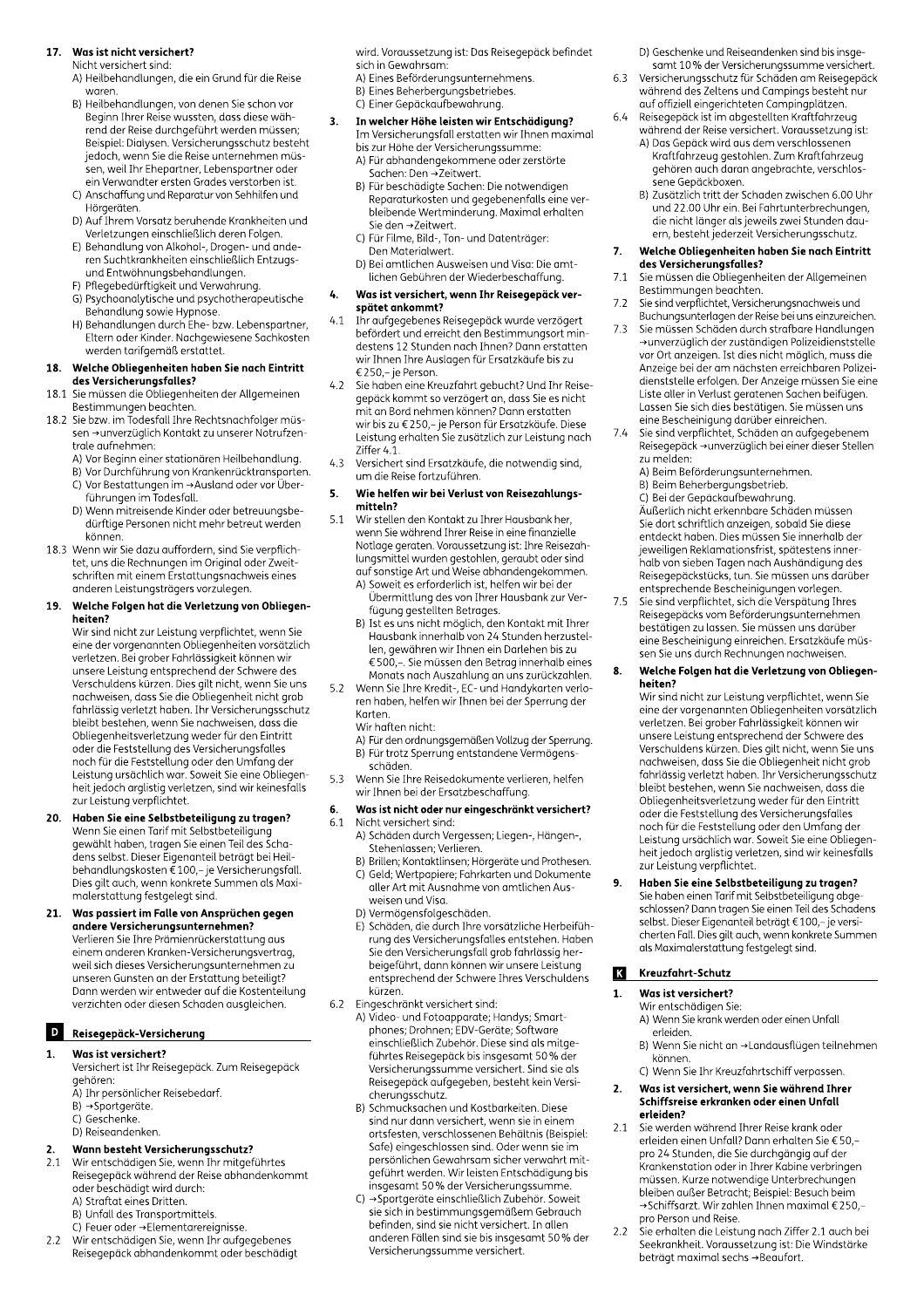#### 17. Was ist nicht versichert?

Nicht versichert sind

- A) Heilbehandlungen, die ein Grund für die Reise waren.
- B) Heilbehandlungen, von denen Sie schon vor Beginn Ihrer Reise wussten, dass diese während der Reise durchgeführt werden müssen; Beispiel: Dialysen. Versicherungsschutz besteht jedoch, wenn Sie die Reise unternehmen müssen, weil Ihr Ehepartner, Lebenspartner oder ein Verwandter ersten Grades verstorben ist.
- C) Anschaffung und Reparatur von Sehhilfen und Hörgeräten.
- D) Auf Ihrem Vorsatz beruhende Krankheiten und Verletzungen einschließlich deren Folgen.
- E) Behandlung von Alkohol-, Drogen- und anderen Suchtkrankheiten einschließlich Entzugsund Entwöhnungsbehandlungen.
- 
- 
- France in the proportional spending one<br>
(G) Psychoanalytische und Verwahrung.<br>
(G) Psychoanalytische und psychotherapeutische<br>
Behandlung sowie Hypnose.<br>
(H) Behandlungen durch Ehe- bzw. Lebenspartner,<br>
Eltern oder Kinder werden tarifgemäß erstattet.

#### 18. Welche Obliegenheiten haben Sie nach Eintritt des Versicherungsfalles?

- sie müssen die Obliegenheiten der Allgemeinen<br>Bestimmungen beachten. 18.1
- Sie bzw. im Todesfall Ihre Rechtsnachfolger müs-18.2 sen →unverzüglich Kontakt zu unserer Notrufzentrale aufnehmen:
	- A) Vor Beginn einer stationären Heilbehandlung.
	- Ny von Begannennen Bediendermeinenen daaring.<br>
	B) Vor Durchführung von Krankenrücktransporten.<br>
	C) Vor Bestattungen im →Ausland oder vor Überführungen im Todesfall.
	- D) Wenn mitreisende Kinder oder betreuungsbedürftige Personen nicht mehr betreut werden können.
- 18.3 Wenn wir Sie dazu auffordern, sind Sie verpflichtet, uns die Rechnungen im Original oder Zweitschriften mit einem Erstattungsnachweis eines anderen Leistungsträgers vorzulegen.

#### Welche Folgen hat die Verletzung von Obliegen-19. heiten?

Wir sind nicht zur Leistung verpflichtet, wenn Sie eine der vorgenannten Obliegenheiten vorsätzlich verletzen. Bei grober Fahrlässigkeit können wir unsere Leistung entsprechend der Schwere des Verschuldens kürzen. Dies gilt nicht, wenn Sie uns nachweisen, dass Sie die Obliegenheit nicht grob fahrlässig verletzt haben. Ihr Versicherungsschutz bleibt bestehen, wenn Sie nachweisen, dass die Obliegenheitsverletzung weder für den Eintritt oder die Feststellung des Versicherungsfalles noch für die Feststellung oder den Umfang der Leistung ursächlich war. Soweit Sie eine Obliegenheit jedoch arglistig verletzen, sind wir keinesfalls zur Leistung verpflichtet.

- Haben Sie eine Selbstbeteiligung zu tragen? 20. Wenn Sie einen Tarif mit Selbstbeteiligung gewählt haben, tragen Sie einen Teil des Schadens selbst. Dieser Eigenanteil beträgt bei Heil-<br>behandlungskosten € 100,– je Versicherungsfall.<br>Dies gilt auch, wenn konkrete Summen als Maximalerstattung festgelegt sind.
- 21. Was passiert im Falle von Ansprüchen gegen andere Versicherungsunternehmen?<br>Verlieren Sie Ihre Prämienrückerstattung aus einem anderen Kranken-Versicherungsvertrag, weil sich dieses Versicherungsunternehmen zu unseren Gunsten an der Erstattung beteiligt? Dann werden wir entweder auf die Kostenteilung verzichten oder diesen Schaden ausgleichen.

# D Reisegepäck-Versicherung

#### Was ist versichert?  $\mathbf{1}$

- Versichert ist Ihr Reisegepäck. Zum Reisegepäck gehören:
- A) Ihr persönlicher Reisebedarf.
- B) → Sportgeräte.
- C) Geschenke. D) Reiseandenken.

#### Wann besteht Versicherungsschutz?  $\overline{2}$

- $21$ oder beschädigt wird durch:
	- A) Straftat eines Dritten.
	-
	- A) Strated entes Britten.<br>
	B) Unfall des Transportmittels.<br>
	C) Feuer oder →Elementarereignisse.
- Wir entschädigen Sie, wenn Ihr aufgegebenes<br>Reisegepäck abhandenkommt oder beschädigt  $22$

wird. Voraussetzung ist: Das Reisegepäck befindet sich in Gewahrsam:

- A) Eines Beförderungsunternehmens.
- B) Eines Beherbergungsbetriebes.
- C) Einer Gepäckaufbewahrung.

#### In welcher Höhe leisten wir Entschädigung?  $3.$ Im Versicherungsfall erstatten wir Ihnen maximal bis zur Höhe der Versicherungssumme:

- A) Für abhandengekommene oder zerstörte Sachen: Den →Zeitwert.
- B) Für beschädigte Sachen: Die notwendigen Reparaturkosten und gegebenenfalls eine verbleibende Wertminderung. Maximal erhalten Sie den →Zeitwert.
- C) Für Filme, Bild-, Ton- und Datenträger: Den Materialwert.
- D.<br>- D) Bei amtlichen Ausweisen und Visa: Die amtlichen Gebühren der Wiederbeschaffung.

#### Was ist versichert, wenn Ihr Reisegepäck ver-4. spätet ankommt?

- $\begin{array}{l} \textbf{space uncountif}\\ \text{In r aufgegebenes Reisegepäck wurde verzögert}\\ \textbf{hrefördert und erreicht den Bestimmungsort mindestens 12 Stunden nach Innen? Danen erstatten\\ \textbf{wir Innen Inre Auslagen für Ersatzkäufe bis zu}\\ \textbf{\textsterling} 250,-je Person. \end{array}$  $4.1$
- Sie haben eine Kreuzfahrt gebucht? Und Ihr Reise- $4.2$ gepäck kommt so verzögert an, dass Sie es nicht mit an Bord nehmen können? Dann erstatten wir bis zu €250,- je Person für Ersatzkäufe. Diese Leistung erhalten Sie zusätzlich zur Leistung nach Ziffer 4.1.
- Versichert sind Ersatzkäufe, die notwendig sind,  $4.3$ um die Reise fortzuführen.

#### 5. Wie helfen wir bei Verlust von Reisezahlungsmitteln?

- $5.1$ Wir stellen den Kontakt zu Ihrer Hausbank her, wenn Sie während Ihrer Reise in eine finanzielle Notlage geraten. Voraussetzung ist: Ihre Reisezahlungsmittel wurden gestohlen, geraubt oder sind auf sonstige Art und Weise abhandengekommen.
	- A) Soweit es erforderlich ist, helfen wir bei der Übermittlung des von Ihrer Hausbank zur Verfügung gestellten Betrages.
	- B) Ist es uns nicht möglich, den Kontakt mit Ihrer Hausbank innerhalb von 24 Stunden herzustellen, gewähren wir Ihnen ein Darlehen bis zu € 500,-. Sie müssen den Betrag innerhalb eines Monats nach Auszahlung an uns zurückzahlen.
- Wenn Sie Ihre Kredit-, EC- und Handykarten verlo- $5.2$ ren haben, helfen wir Ihnen bei der Sperrung der Karten
	- Wir haften nicht:
	- A) Für den ordnungsgemäßen Vollzug der Sperrung. B) Für trotz Sperrung entstandene Vermögens-
- schäden.  $5.3$ Wenn Sie Ihre Reisedokumente verlieren, helfen wir Ihnen bei der Ersatzbeschaffung.

#### Was ist nicht oder nur eingeschränkt versichert? 6.

#### 6.1 Nicht versichert sind:

- A) Schäden durch Vergessen; Liegen-, Hängen-, Stehenlassen; Verlieren.
- B) Brillen; Kontaktlinsen; Hörgeräte und Prothesen. C) Geld; Wertpapiere; Fahrkarten und Dokumente aller Art mit Ausnahme von amtlichen Ausweisen und Visa.
- D) Vermögensfolgeschäden.
- By verringensiongeschiaden.<br>E) Schäden, die durch Ihre vorsätzliche Herbeiführung des Versicherungsfalles entstehen. Haben rung des versicherungsfall grob fahrlässig her-<br>Sie den Versicherungsfall grob fahrlässig her-<br>beigeführt, dann können wir unsere Leistung entsprechend der Schwere Ihres Verschuldens kürzen.
- Eingeschränkt versichert sind: 6.2
	- A) Video- und Fotoapparate; Handys; Smartphones; Drohnen; EDV-Geräte; Software einschließlich Zubehör. Diese sind als mitgeführtes Reisegepäck bis insgesamt 50 % der Versicherungssumme versichert. Sind sie als Reisegepäck aufgegeben, besteht kein Versicherungsschutz.
	- B) Schmucksachen und Kostbarkeiten. Diese sind nur dann versichert, wenn sie in einem ortsfesten, verschlossenen Behältnis (Beispiel: Safe) eingeschlossen sind. Oder wenn sie im persönlichen Gewahrsam sicher verwahrt mitgeführt werden. Wir leisten Entschädigung bis .<br>insgesamt 50% der Versicherungssumme.
	- C) → Sportgeräte einschließlich Zubehör. Soweit sie sich in bestimmungsgemäßem Gebrauch befinden, sind sie nicht versichert. In allen anderen Fällen sind sie bis insgesamt 50% der Versicherungssumme versichert.

D) Geschenke und Reiseandenken sind bis insgesamt 10% der Versicherungssumme versichert.

- 6.3 Versicherungsschutz für Schäden am Reisegepäck während des Zeltens und Campings besteht nur auf offiziell eingerichteten Campingplätzen.
- Reisegepäck ist im abgestellten Kraftfahrzeug 6.4
	- während der Reise versichert. Voraussetzung ist: A) Das Gepäck wird aus dem verschlossenen Kraftfahrzeug gestohlen. Zum Kraftfahrzeug gehören auch daran angebrachte, verschlos-
	- -<br>sene Gepäckboxen. B) Zusätzlich tritt der Schaden zwischen 6.00 Uhr und 22.00 Uhr ein. Bei Fahrtunterbrechungen, die nicht länger als jeweils zwei Stunden dauern, besteht jederzeit Versicherungsschutz.

#### Welche Obliegenheiten haben Sie nach Eintritt 7. des Versicherungsfalles?

- Sie müssen die Obliegenheiten der Allgemeinen  $7.1$
- $7.2$
- Sie mussen ale Obiegenheiten der Augemeinen<br>Bestimmungen beachten.<br>Sie sind verpflichtet, Versicherungsnachweis und<br>Buchungsunterlagen der Reise bei uns einzureichen.<br>Sie müssen Schäden durch strafbare Handlungen<br>→unverzü  $7.3$ Anzeige bei der am nächsten erreichbaren Polizeidienststelle erfolgen. Der Anzeige müssen Sie eine Liste aller in Verlust geratenen Sachen beifügen.<br>Liste aller in Verlust geratenen Sachen beifügen.<br>Lassen Sie sich dies bestätigen. Sie müssen uns eine Bescheinigung darüber einreichen.
- Sie sind verpflichtet, Schäden an aufgegebenem  $7.4$ Reisegepäck →unverzüglich bei einer dieser Stellen zu melden:
	- A) Beim Beförderungsunternehmen.
	- B) Beim Beherbergungsbetrieb. C) Bei der Gepäckaufbewahrung.
	- Äußerlich nicht erkennbare Schäden müssen Sie dort schriftlich anzeigen, sobald Sie diese entdeckt haben. Dies müssen Sie innerhalb der jeweiligen Reklamationsfrist, spätestens inner-.<br>halb von sieben Tagen nach Aushändigung des Reisegepäckstücks, tun. Sie müssen uns darüber entsprechende Bescheinigungen vorlegen.
- Sie sind verpflichtet, sich die Verspätung Ihres  $7.5$ Reisegepäcks vom Beförderungsunternehmen bestätigen zu lassen. Sie müssen uns darüber eine Bescheinigung einreichen. Ersatzkäufe müssen Sie uns durch Rechnungen nachweisen.

#### 8. Welche Folgen hat die Verletzung von Obliegenheiten?

Wir sind nicht zur Leistung verpflichtet, wenn Sie eine der vorgenannten Obliegenheiten vorsätzlich verletzen. Bei grober Fahrlässigkeit können wir unsere Leistung entsprechend der Schwere des Verschuldens kürzen. Dies gilt nicht, wenn Sie uns nachweisen, dass Sie die Obliegenheit nicht grob fahrlässig verletzt haben. Ihr Versicherungsschutz bleibt bestehen, wenn Sie nachweisen, dass die Obliegenheitsverletzung weder für den Eintritt oder die Feststellung des Versicherungsfalles noch für die Feststellung oder den Umfang der Leistung ursächlich war. Soweit Sie eine Obliegenheit jedoch arglistig verletzen, sind wir keinesfalls zur Leistung verpflichtet.

# 9.

**Haben Sie eine Selbstbeteiligung zu tragen?**<br>Sie haben einen Tarif mit Selbstbeteiligung abge-<br>schlossen? Dann tragen Sie einen Teil des Schadens<br>selbst. Dieser Eigenanteil beträgt € 100,– je versi-Concordination of the concept of 100,- je versi-<br>cherten Fall. Dies gilt auch, wenn konkrete Summen<br>als Maximalerstattung festgelegt sind.

#### Kreuzfahrt-Schutz K

#### Was ist versichert?  $\mathbf{1}$

- Wir entschädigen Sie: A) Wenn Sie krank werden oder einen Unfall erleiden.
- B) Wenn Sie nicht an →Landausflügen teilnehmen können
- C) Wenn Sie Ihr Kreuzfahrtschiff verpassen.

#### Was ist versichert, wenn Sie während Ihrer  $2.$ Schiffsreise erkranken oder einen Unfall erleiden?

- Sie werden während Ihrer Reise krank oder  $2.1$ erleiden einen Unfall? Dann erhalten Sie €50,pro 24 Stunden, die Sie durchgängig auf der Krankenstation oder in Ihrer Kabine verbringen müssen. Kurze notwendige Unterbrechungen<br>bleiben außer Betracht; Beispiel: Besuch beim →Schiffsarzt. Wir zahlen Ihnen maximal €250,pro Person und Reise.
- .<br>Sie erhalten die Leistung nach Ziffer 2.1 auch bei  $2.2$ Seekrankheit. Voraussetzung ist: Die Windstärke beträgt maximal sechs → Beaufort.